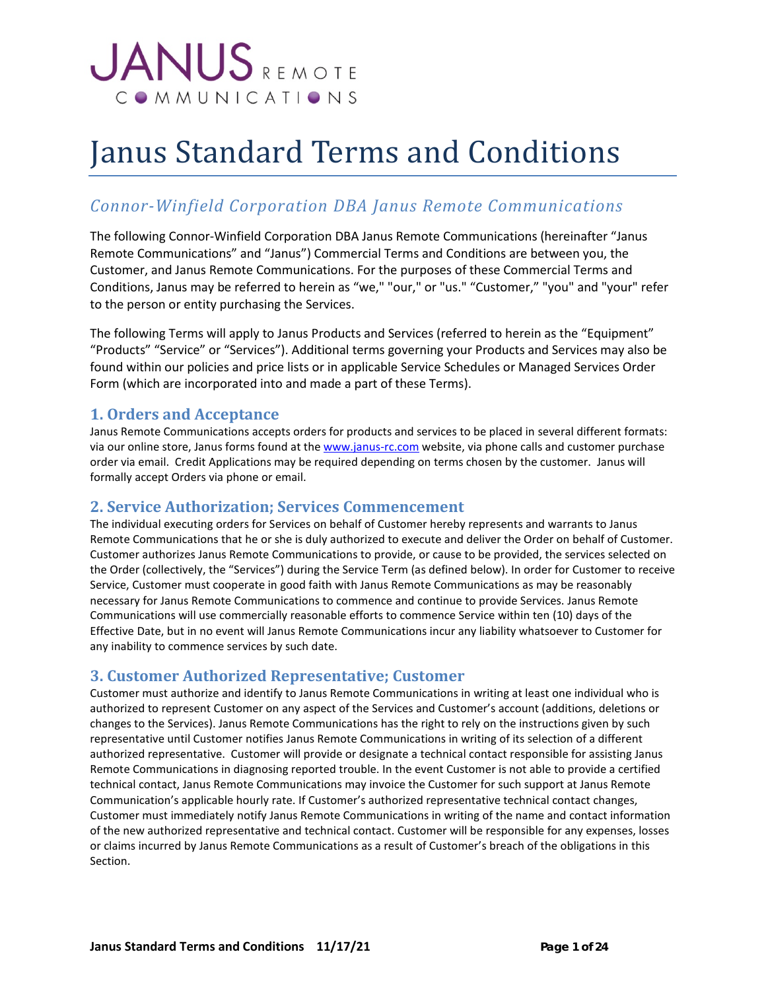# **JANUS** REMOTE COMMUNICATIONS

# Janus Standard Terms and Conditions

# *Connor-Winfield Corporation DBA Janus Remote Communications*

The following Connor-Winfield Corporation DBA Janus Remote Communications (hereinafter "Janus Remote Communications" and "Janus") Commercial Terms and Conditions are between you, the Customer, and Janus Remote Communications. For the purposes of these Commercial Terms and Conditions, Janus may be referred to herein as "we," "our," or "us." "Customer," "you" and "your" refer to the person or entity purchasing the Services.

The following Terms will apply to Janus Products and Services (referred to herein as the "Equipment" "Products" "Service" or "Services"). Additional terms governing your Products and Services may also be found within our policies and price lists or in applicable Service Schedules or Managed Services Order Form (which are incorporated into and made a part of these Terms).

## **1. Orders and Acceptance**

Janus Remote Communications accepts orders for products and services to be placed in several different formats: via our online store, Janus forms found at th[e www.janus-rc.com](http://www.janus-rc.com/) website, via phone calls and customer purchase order via email. Credit Applications may be required depending on terms chosen by the customer. Janus will formally accept Orders via phone or email.

## **2. Service Authorization; Services Commencement**

The individual executing orders for Services on behalf of Customer hereby represents and warrants to Janus Remote Communications that he or she is duly authorized to execute and deliver the Order on behalf of Customer. Customer authorizes Janus Remote Communications to provide, or cause to be provided, the services selected on the Order (collectively, the "Services") during the Service Term (as defined below). In order for Customer to receive Service, Customer must cooperate in good faith with Janus Remote Communications as may be reasonably necessary for Janus Remote Communications to commence and continue to provide Services. Janus Remote Communications will use commercially reasonable efforts to commence Service within ten (10) days of the Effective Date, but in no event will Janus Remote Communications incur any liability whatsoever to Customer for any inability to commence services by such date.

## **3. Customer Authorized Representative; Customer**

Customer must authorize and identify to Janus Remote Communications in writing at least one individual who is authorized to represent Customer on any aspect of the Services and Customer's account (additions, deletions or changes to the Services). Janus Remote Communications has the right to rely on the instructions given by such representative until Customer notifies Janus Remote Communications in writing of its selection of a different authorized representative. Customer will provide or designate a technical contact responsible for assisting Janus Remote Communications in diagnosing reported trouble. In the event Customer is not able to provide a certified technical contact, Janus Remote Communications may invoice the Customer for such support at Janus Remote Communication's applicable hourly rate. If Customer's authorized representative technical contact changes, Customer must immediately notify Janus Remote Communications in writing of the name and contact information of the new authorized representative and technical contact. Customer will be responsible for any expenses, losses or claims incurred by Janus Remote Communications as a result of Customer's breach of the obligations in this Section.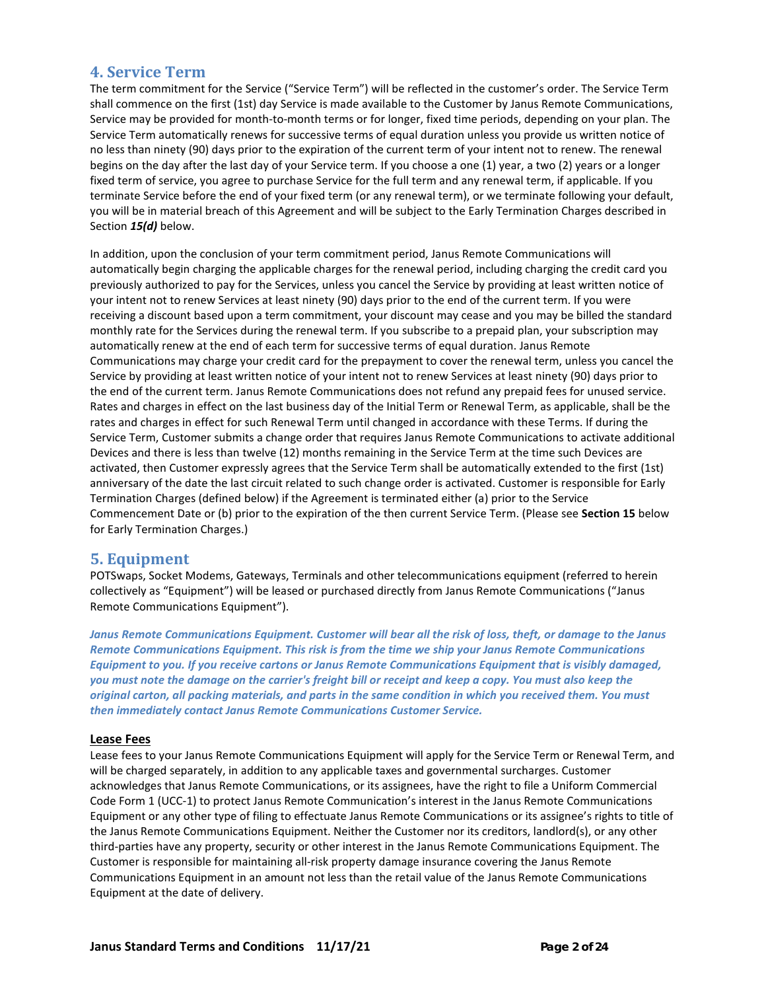## **4. Service Term**

The term commitment for the Service ("Service Term") will be reflected in the customer's order. The Service Term shall commence on the first (1st) day Service is made available to the Customer by Janus Remote Communications, Service may be provided for month-to-month terms or for longer, fixed time periods, depending on your plan. The Service Term automatically renews for successive terms of equal duration unless you provide us written notice of no less than ninety (90) days prior to the expiration of the current term of your intent not to renew. The renewal begins on the day after the last day of your Service term. If you choose a one (1) year, a two (2) years or a longer fixed term of service, you agree to purchase Service for the full term and any renewal term, if applicable. If you terminate Service before the end of your fixed term (or any renewal term), or we terminate following your default, you will be in material breach of this Agreement and will be subject to the Early Termination Charges described in Section *15(d)* below.

In addition, upon the conclusion of your term commitment period, Janus Remote Communications will automatically begin charging the applicable charges for the renewal period, including charging the credit card you previously authorized to pay for the Services, unless you cancel the Service by providing at least written notice of your intent not to renew Services at least ninety (90) days prior to the end of the current term. If you were receiving a discount based upon a term commitment, your discount may cease and you may be billed the standard monthly rate for the Services during the renewal term. If you subscribe to a prepaid plan, your subscription may automatically renew at the end of each term for successive terms of equal duration. Janus Remote Communications may charge your credit card for the prepayment to cover the renewal term, unless you cancel the Service by providing at least written notice of your intent not to renew Services at least ninety (90) days prior to the end of the current term. Janus Remote Communications does not refund any prepaid fees for unused service. Rates and charges in effect on the last business day of the Initial Term or Renewal Term, as applicable, shall be the rates and charges in effect for such Renewal Term until changed in accordance with these Terms. If during the Service Term, Customer submits a change order that requires Janus Remote Communications to activate additional Devices and there is less than twelve (12) months remaining in the Service Term at the time such Devices are activated, then Customer expressly agrees that the Service Term shall be automatically extended to the first (1st) anniversary of the date the last circuit related to such change order is activated. Customer is responsible for Early Termination Charges (defined below) if the Agreement is terminated either (a) prior to the Service Commencement Date or (b) prior to the expiration of the then current Service Term. (Please see **Section 15** below for Early Termination Charges.)

## **5. Equipment**

POTSwaps, Socket Modems, Gateways, Terminals and other telecommunications equipment (referred to herein collectively as "Equipment") will be leased or purchased directly from Janus Remote Communications ("Janus Remote Communications Equipment").

*Janus Remote Communications Equipment. Customer will bear all the risk of loss, theft, or damage to the Janus Remote Communications Equipment. This risk is from the time we ship your Janus Remote Communications Equipment to you. If you receive cartons or Janus Remote Communications Equipment that is visibly damaged, you must note the damage on the carrier's freight bill or receipt and keep a copy. You must also keep the original carton, all packing materials, and parts in the same condition in which you received them. You must then immediately contact Janus Remote Communications Customer Service.* 

#### **Lease Fees**

Lease fees to your Janus Remote Communications Equipment will apply for the Service Term or Renewal Term, and will be charged separately, in addition to any applicable taxes and governmental surcharges. Customer acknowledges that Janus Remote Communications, or its assignees, have the right to file a Uniform Commercial Code Form 1 (UCC-1) to protect Janus Remote Communication's interest in the Janus Remote Communications Equipment or any other type of filing to effectuate Janus Remote Communications or its assignee's rights to title of the Janus Remote Communications Equipment. Neither the Customer nor its creditors, landlord(s), or any other third-parties have any property, security or other interest in the Janus Remote Communications Equipment. The Customer is responsible for maintaining all-risk property damage insurance covering the Janus Remote Communications Equipment in an amount not less than the retail value of the Janus Remote Communications Equipment at the date of delivery.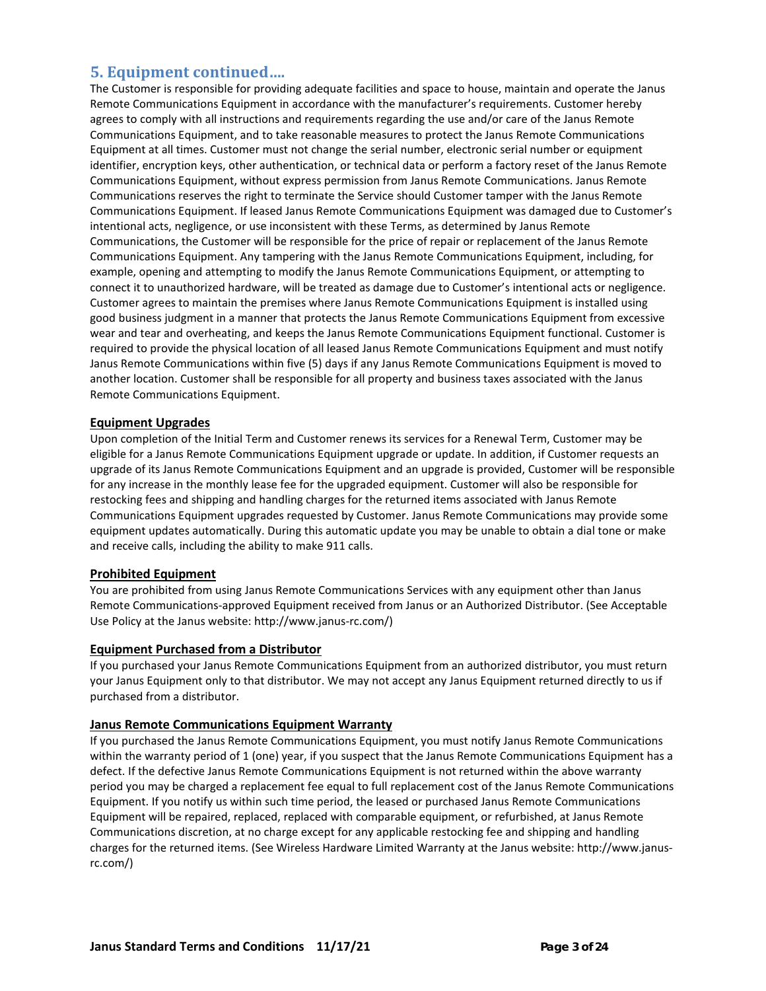## **5. Equipment continued….**

The Customer is responsible for providing adequate facilities and space to house, maintain and operate the Janus Remote Communications Equipment in accordance with the manufacturer's requirements. Customer hereby agrees to comply with all instructions and requirements regarding the use and/or care of the Janus Remote Communications Equipment, and to take reasonable measures to protect the Janus Remote Communications Equipment at all times. Customer must not change the serial number, electronic serial number or equipment identifier, encryption keys, other authentication, or technical data or perform a factory reset of the Janus Remote Communications Equipment, without express permission from Janus Remote Communications. Janus Remote Communications reserves the right to terminate the Service should Customer tamper with the Janus Remote Communications Equipment. If leased Janus Remote Communications Equipment was damaged due to Customer's intentional acts, negligence, or use inconsistent with these Terms, as determined by Janus Remote Communications, the Customer will be responsible for the price of repair or replacement of the Janus Remote Communications Equipment. Any tampering with the Janus Remote Communications Equipment, including, for example, opening and attempting to modify the Janus Remote Communications Equipment, or attempting to connect it to unauthorized hardware, will be treated as damage due to Customer's intentional acts or negligence. Customer agrees to maintain the premises where Janus Remote Communications Equipment is installed using good business judgment in a manner that protects the Janus Remote Communications Equipment from excessive wear and tear and overheating, and keeps the Janus Remote Communications Equipment functional. Customer is required to provide the physical location of all leased Janus Remote Communications Equipment and must notify Janus Remote Communications within five (5) days if any Janus Remote Communications Equipment is moved to another location. Customer shall be responsible for all property and business taxes associated with the Janus Remote Communications Equipment.

#### **Equipment Upgrades**

Upon completion of the Initial Term and Customer renews its services for a Renewal Term, Customer may be eligible for a Janus Remote Communications Equipment upgrade or update. In addition, if Customer requests an upgrade of its Janus Remote Communications Equipment and an upgrade is provided, Customer will be responsible for any increase in the monthly lease fee for the upgraded equipment. Customer will also be responsible for restocking fees and shipping and handling charges for the returned items associated with Janus Remote Communications Equipment upgrades requested by Customer. Janus Remote Communications may provide some equipment updates automatically. During this automatic update you may be unable to obtain a dial tone or make and receive calls, including the ability to make 911 calls.

#### **Prohibited Equipment**

You are prohibited from using Janus Remote Communications Services with any equipment other than Janus Remote Communications-approved Equipment received from Janus or an Authorized Distributor. (See Acceptable Use Policy at the Janus website: http://www.janus-rc.com/)

#### **Equipment Purchased from a Distributor**

If you purchased your Janus Remote Communications Equipment from an authorized distributor, you must return your Janus Equipment only to that distributor. We may not accept any Janus Equipment returned directly to us if purchased from a distributor.

#### **Janus Remote Communications Equipment Warranty**

If you purchased the Janus Remote Communications Equipment, you must notify Janus Remote Communications within the warranty period of 1 (one) year, if you suspect that the Janus Remote Communications Equipment has a defect. If the defective Janus Remote Communications Equipment is not returned within the above warranty period you may be charged a replacement fee equal to full replacement cost of the Janus Remote Communications Equipment. If you notify us within such time period, the leased or purchased Janus Remote Communications Equipment will be repaired, replaced, replaced with comparable equipment, or refurbished, at Janus Remote Communications discretion, at no charge except for any applicable restocking fee and shipping and handling charges for the returned items. (See Wireless Hardware Limited Warranty at the Janus website: http://www.janusrc.com/)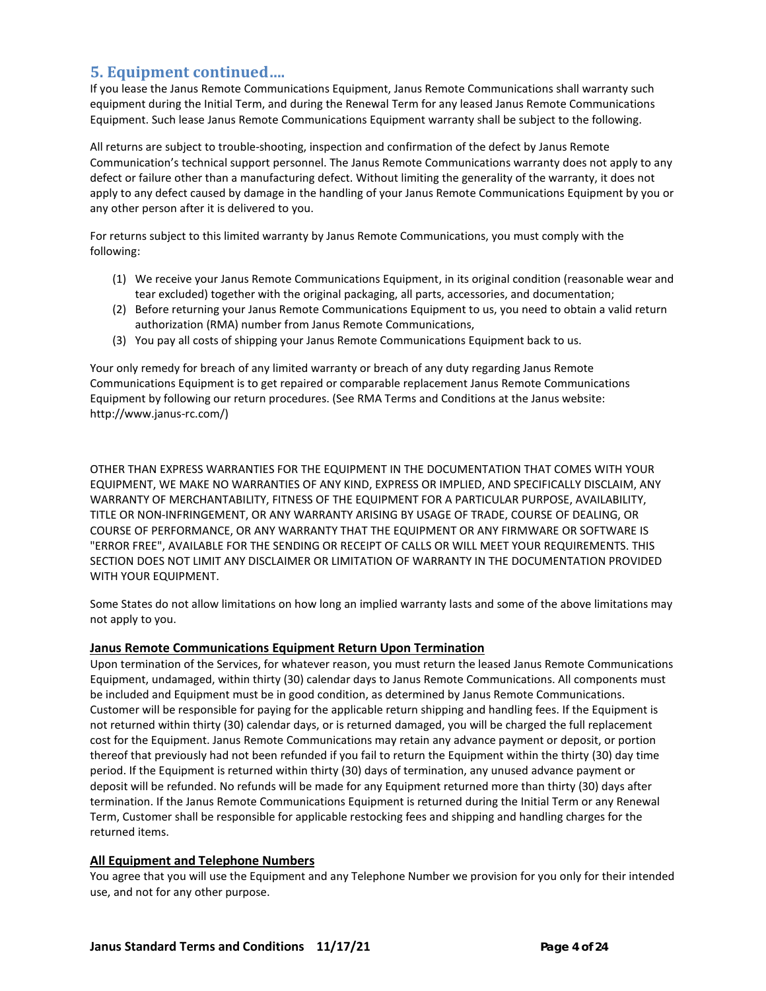## **5. Equipment continued….**

If you lease the Janus Remote Communications Equipment, Janus Remote Communications shall warranty such equipment during the Initial Term, and during the Renewal Term for any leased Janus Remote Communications Equipment. Such lease Janus Remote Communications Equipment warranty shall be subject to the following.

All returns are subject to trouble-shooting, inspection and confirmation of the defect by Janus Remote Communication's technical support personnel. The Janus Remote Communications warranty does not apply to any defect or failure other than a manufacturing defect. Without limiting the generality of the warranty, it does not apply to any defect caused by damage in the handling of your Janus Remote Communications Equipment by you or any other person after it is delivered to you.

For returns subject to this limited warranty by Janus Remote Communications, you must comply with the following:

- (1) We receive your Janus Remote Communications Equipment, in its original condition (reasonable wear and tear excluded) together with the original packaging, all parts, accessories, and documentation;
- (2) Before returning your Janus Remote Communications Equipment to us, you need to obtain a valid return authorization (RMA) number from Janus Remote Communications,
- (3) You pay all costs of shipping your Janus Remote Communications Equipment back to us.

Your only remedy for breach of any limited warranty or breach of any duty regarding Janus Remote Communications Equipment is to get repaired or comparable replacement Janus Remote Communications Equipment by following our return procedures. (See RMA Terms and Conditions at the Janus website: http://www.janus-rc.com/)

OTHER THAN EXPRESS WARRANTIES FOR THE EQUIPMENT IN THE DOCUMENTATION THAT COMES WITH YOUR EQUIPMENT, WE MAKE NO WARRANTIES OF ANY KIND, EXPRESS OR IMPLIED, AND SPECIFICALLY DISCLAIM, ANY WARRANTY OF MERCHANTABILITY, FITNESS OF THE EQUIPMENT FOR A PARTICULAR PURPOSE, AVAILABILITY, TITLE OR NON-INFRINGEMENT, OR ANY WARRANTY ARISING BY USAGE OF TRADE, COURSE OF DEALING, OR COURSE OF PERFORMANCE, OR ANY WARRANTY THAT THE EQUIPMENT OR ANY FIRMWARE OR SOFTWARE IS "ERROR FREE", AVAILABLE FOR THE SENDING OR RECEIPT OF CALLS OR WILL MEET YOUR REQUIREMENTS. THIS SECTION DOES NOT LIMIT ANY DISCLAIMER OR LIMITATION OF WARRANTY IN THE DOCUMENTATION PROVIDED WITH YOUR EQUIPMENT.

Some States do not allow limitations on how long an implied warranty lasts and some of the above limitations may not apply to you.

#### **Janus Remote Communications Equipment Return Upon Termination**

Upon termination of the Services, for whatever reason, you must return the leased Janus Remote Communications Equipment, undamaged, within thirty (30) calendar days to Janus Remote Communications. All components must be included and Equipment must be in good condition, as determined by Janus Remote Communications. Customer will be responsible for paying for the applicable return shipping and handling fees. If the Equipment is not returned within thirty (30) calendar days, or is returned damaged, you will be charged the full replacement cost for the Equipment. Janus Remote Communications may retain any advance payment or deposit, or portion thereof that previously had not been refunded if you fail to return the Equipment within the thirty (30) day time period. If the Equipment is returned within thirty (30) days of termination, any unused advance payment or deposit will be refunded. No refunds will be made for any Equipment returned more than thirty (30) days after termination. If the Janus Remote Communications Equipment is returned during the Initial Term or any Renewal Term, Customer shall be responsible for applicable restocking fees and shipping and handling charges for the returned items.

#### **All Equipment and Telephone Numbers**

You agree that you will use the Equipment and any Telephone Number we provision for you only for their intended use, and not for any other purpose.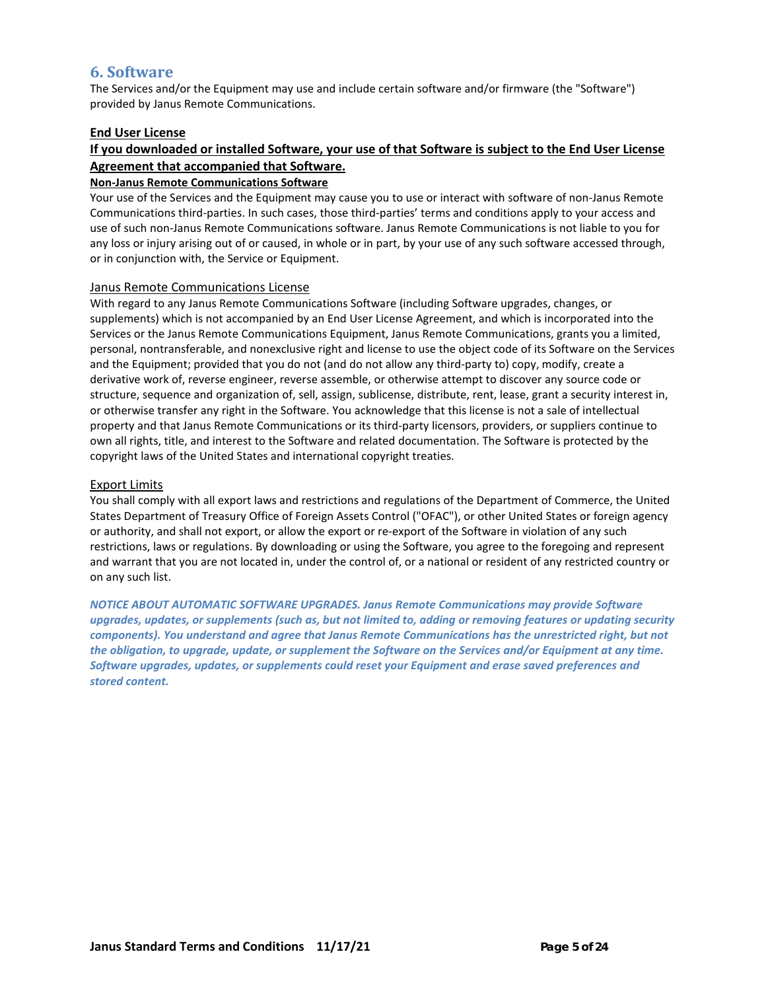## **6. Software**

The Services and/or the Equipment may use and include certain software and/or firmware (the "Software") provided by Janus Remote Communications.

#### **End User License**

## **If you downloaded or installed Software, your use of that Software is subject to the End User License Agreement that accompanied that Software.**

#### **Non-Janus Remote Communications Software**

Your use of the Services and the Equipment may cause you to use or interact with software of non-Janus Remote Communications third-parties. In such cases, those third-parties' terms and conditions apply to your access and use of such non-Janus Remote Communications software. Janus Remote Communications is not liable to you for any loss or injury arising out of or caused, in whole or in part, by your use of any such software accessed through, or in conjunction with, the Service or Equipment.

#### Janus Remote Communications License

With regard to any Janus Remote Communications Software (including Software upgrades, changes, or supplements) which is not accompanied by an End User License Agreement, and which is incorporated into the Services or the Janus Remote Communications Equipment, Janus Remote Communications, grants you a limited, personal, nontransferable, and nonexclusive right and license to use the object code of its Software on the Services and the Equipment; provided that you do not (and do not allow any third-party to) copy, modify, create a derivative work of, reverse engineer, reverse assemble, or otherwise attempt to discover any source code or structure, sequence and organization of, sell, assign, sublicense, distribute, rent, lease, grant a security interest in, or otherwise transfer any right in the Software. You acknowledge that this license is not a sale of intellectual property and that Janus Remote Communications or its third-party licensors, providers, or suppliers continue to own all rights, title, and interest to the Software and related documentation. The Software is protected by the copyright laws of the United States and international copyright treaties.

#### Export Limits

You shall comply with all export laws and restrictions and regulations of the Department of Commerce, the United States Department of Treasury Office of Foreign Assets Control ("OFAC"), or other United States or foreign agency or authority, and shall not export, or allow the export or re-export of the Software in violation of any such restrictions, laws or regulations. By downloading or using the Software, you agree to the foregoing and represent and warrant that you are not located in, under the control of, or a national or resident of any restricted country or on any such list.

*NOTICE ABOUT AUTOMATIC SOFTWARE UPGRADES. Janus Remote Communications may provide Software upgrades, updates, or supplements (such as, but not limited to, adding or removing features or updating security components). You understand and agree that Janus Remote Communications has the unrestricted right, but not the obligation, to upgrade, update, or supplement the Software on the Services and/or Equipment at any time. Software upgrades, updates, or supplements could reset your Equipment and erase saved preferences and stored content.*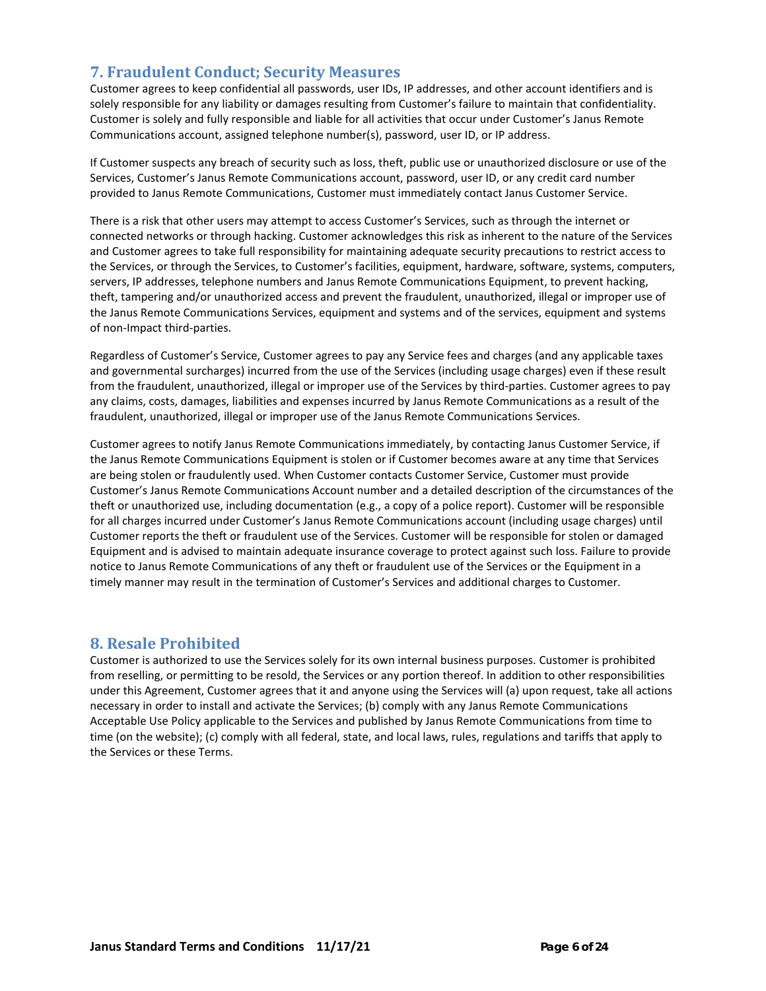## **7. Fraudulent Conduct; Security Measures**

Customer agrees to keep confidential all passwords, user IDs, IP addresses, and other account identifiers and is solely responsible for any liability or damages resulting from Customer's failure to maintain that confidentiality. Customer is solely and fully responsible and liable for all activities that occur under Customer's Janus Remote Communications account, assigned telephone number(s), password, user ID, or IP address.

If Customer suspects any breach of security such as loss, theft, public use or unauthorized disclosure or use of the Services, Customer's Janus Remote Communications account, password, user ID, or any credit card number provided to Janus Remote Communications, Customer must immediately contact Janus Customer Service.

There is a risk that other users may attempt to access Customer's Services, such as through the internet or connected networks or through hacking. Customer acknowledges this risk as inherent to the nature of the Services and Customer agrees to take full responsibility for maintaining adequate security precautions to restrict access to the Services, or through the Services, to Customer's facilities, equipment, hardware, software, systems, computers, servers, IP addresses, telephone numbers and Janus Remote Communications Equipment, to prevent hacking, theft, tampering and/or unauthorized access and prevent the fraudulent, unauthorized, illegal or improper use of the Janus Remote Communications Services, equipment and systems and of the services, equipment and systems of non-Impact third-parties.

Regardless of Customer's Service, Customer agrees to pay any Service fees and charges (and any applicable taxes and governmental surcharges) incurred from the use of the Services (including usage charges) even if these result from the fraudulent, unauthorized, illegal or improper use of the Services by third-parties. Customer agrees to pay any claims, costs, damages, liabilities and expenses incurred by Janus Remote Communications as a result of the fraudulent, unauthorized, illegal or improper use of the Janus Remote Communications Services.

Customer agrees to notify Janus Remote Communications immediately, by contacting Janus Customer Service, if the Janus Remote Communications Equipment is stolen or if Customer becomes aware at any time that Services are being stolen or fraudulently used. When Customer contacts Customer Service, Customer must provide Customer's Janus Remote Communications Account number and a detailed description of the circumstances of the theft or unauthorized use, including documentation (e.g., a copy of a police report). Customer will be responsible for all charges incurred under Customer's Janus Remote Communications account (including usage charges) until Customer reports the theft or fraudulent use of the Services. Customer will be responsible for stolen or damaged Equipment and is advised to maintain adequate insurance coverage to protect against such loss. Failure to provide notice to Janus Remote Communications of any theft or fraudulent use of the Services or the Equipment in a timely manner may result in the termination of Customer's Services and additional charges to Customer.

## **8. Resale Prohibited**

Customer is authorized to use the Services solely for its own internal business purposes. Customer is prohibited from reselling, or permitting to be resold, the Services or any portion thereof. In addition to other responsibilities under this Agreement, Customer agrees that it and anyone using the Services will (a) upon request, take all actions necessary in order to install and activate the Services; (b) comply with any Janus Remote Communications Acceptable Use Policy applicable to the Services and published by Janus Remote Communications from time to time (on the website); (c) comply with all federal, state, and local laws, rules, regulations and tariffs that apply to the Services or these Terms.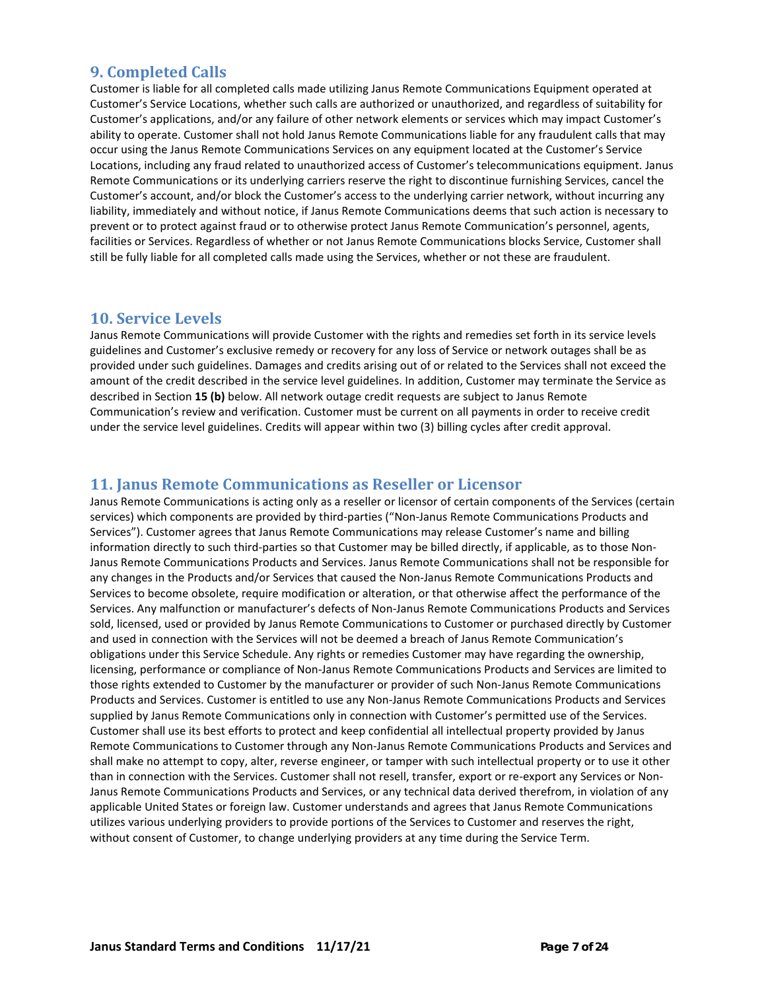## **9. Completed Calls**

Customer is liable for all completed calls made utilizing Janus Remote Communications Equipment operated at Customer's Service Locations, whether such calls are authorized or unauthorized, and regardless of suitability for Customer's applications, and/or any failure of other network elements or services which may impact Customer's ability to operate. Customer shall not hold Janus Remote Communications liable for any fraudulent calls that may occur using the Janus Remote Communications Services on any equipment located at the Customer's Service Locations, including any fraud related to unauthorized access of Customer's telecommunications equipment. Janus Remote Communications or its underlying carriers reserve the right to discontinue furnishing Services, cancel the Customer's account, and/or block the Customer's access to the underlying carrier network, without incurring any liability, immediately and without notice, if Janus Remote Communications deems that such action is necessary to prevent or to protect against fraud or to otherwise protect Janus Remote Communication's personnel, agents, facilities or Services. Regardless of whether or not Janus Remote Communications blocks Service, Customer shall still be fully liable for all completed calls made using the Services, whether or not these are fraudulent.

## **10. Service Levels**

Janus Remote Communications will provide Customer with the rights and remedies set forth in its service levels guidelines and Customer's exclusive remedy or recovery for any loss of Service or network outages shall be as provided under such guidelines. Damages and credits arising out of or related to the Services shall not exceed the amount of the credit described in the service level guidelines. In addition, Customer may terminate the Service as described in Section **15 (b)** below. All network outage credit requests are subject to Janus Remote Communication's review and verification. Customer must be current on all payments in order to receive credit under the service level guidelines. Credits will appear within two (3) billing cycles after credit approval.

## **11. Janus Remote Communications as Reseller or Licensor**

Janus Remote Communications is acting only as a reseller or licensor of certain components of the Services (certain services) which components are provided by third-parties ("Non-Janus Remote Communications Products and Services"). Customer agrees that Janus Remote Communications may release Customer's name and billing information directly to such third-parties so that Customer may be billed directly, if applicable, as to those Non-Janus Remote Communications Products and Services. Janus Remote Communications shall not be responsible for any changes in the Products and/or Services that caused the Non-Janus Remote Communications Products and Services to become obsolete, require modification or alteration, or that otherwise affect the performance of the Services. Any malfunction or manufacturer's defects of Non-Janus Remote Communications Products and Services sold, licensed, used or provided by Janus Remote Communications to Customer or purchased directly by Customer and used in connection with the Services will not be deemed a breach of Janus Remote Communication's obligations under this Service Schedule. Any rights or remedies Customer may have regarding the ownership, licensing, performance or compliance of Non-Janus Remote Communications Products and Services are limited to those rights extended to Customer by the manufacturer or provider of such Non-Janus Remote Communications Products and Services. Customer is entitled to use any Non-Janus Remote Communications Products and Services supplied by Janus Remote Communications only in connection with Customer's permitted use of the Services. Customer shall use its best efforts to protect and keep confidential all intellectual property provided by Janus Remote Communications to Customer through any Non-Janus Remote Communications Products and Services and shall make no attempt to copy, alter, reverse engineer, or tamper with such intellectual property or to use it other than in connection with the Services. Customer shall not resell, transfer, export or re-export any Services or Non-Janus Remote Communications Products and Services, or any technical data derived therefrom, in violation of any applicable United States or foreign law. Customer understands and agrees that Janus Remote Communications utilizes various underlying providers to provide portions of the Services to Customer and reserves the right, without consent of Customer, to change underlying providers at any time during the Service Term.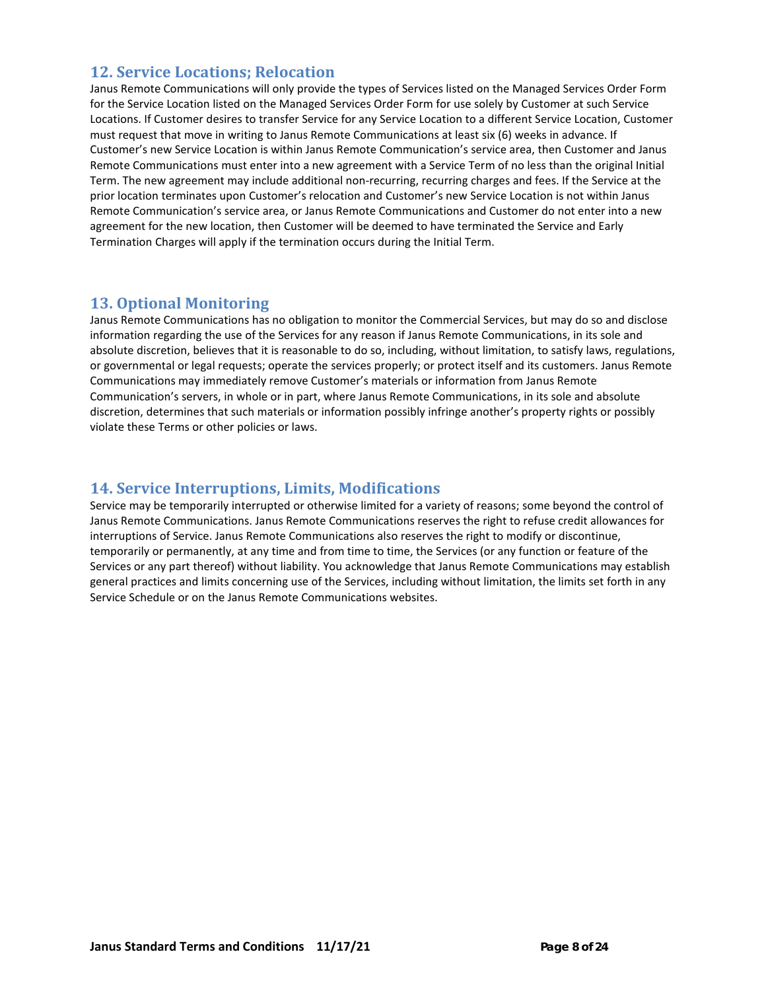## **12. Service Locations; Relocation**

Janus Remote Communications will only provide the types of Services listed on the Managed Services Order Form for the Service Location listed on the Managed Services Order Form for use solely by Customer at such Service Locations. If Customer desires to transfer Service for any Service Location to a different Service Location, Customer must request that move in writing to Janus Remote Communications at least six (6) weeks in advance. If Customer's new Service Location is within Janus Remote Communication's service area, then Customer and Janus Remote Communications must enter into a new agreement with a Service Term of no less than the original Initial Term. The new agreement may include additional non-recurring, recurring charges and fees. If the Service at the prior location terminates upon Customer's relocation and Customer's new Service Location is not within Janus Remote Communication's service area, or Janus Remote Communications and Customer do not enter into a new agreement for the new location, then Customer will be deemed to have terminated the Service and Early Termination Charges will apply if the termination occurs during the Initial Term.

## **13. Optional Monitoring**

Janus Remote Communications has no obligation to monitor the Commercial Services, but may do so and disclose information regarding the use of the Services for any reason if Janus Remote Communications, in its sole and absolute discretion, believes that it is reasonable to do so, including, without limitation, to satisfy laws, regulations, or governmental or legal requests; operate the services properly; or protect itself and its customers. Janus Remote Communications may immediately remove Customer's materials or information from Janus Remote Communication's servers, in whole or in part, where Janus Remote Communications, in its sole and absolute discretion, determines that such materials or information possibly infringe another's property rights or possibly violate these Terms or other policies or laws.

## **14. Service Interruptions, Limits, Modifications**

Service may be temporarily interrupted or otherwise limited for a variety of reasons; some beyond the control of Janus Remote Communications. Janus Remote Communications reserves the right to refuse credit allowances for interruptions of Service. Janus Remote Communications also reserves the right to modify or discontinue, temporarily or permanently, at any time and from time to time, the Services (or any function or feature of the Services or any part thereof) without liability. You acknowledge that Janus Remote Communications may establish general practices and limits concerning use of the Services, including without limitation, the limits set forth in any Service Schedule or on the Janus Remote Communications websites.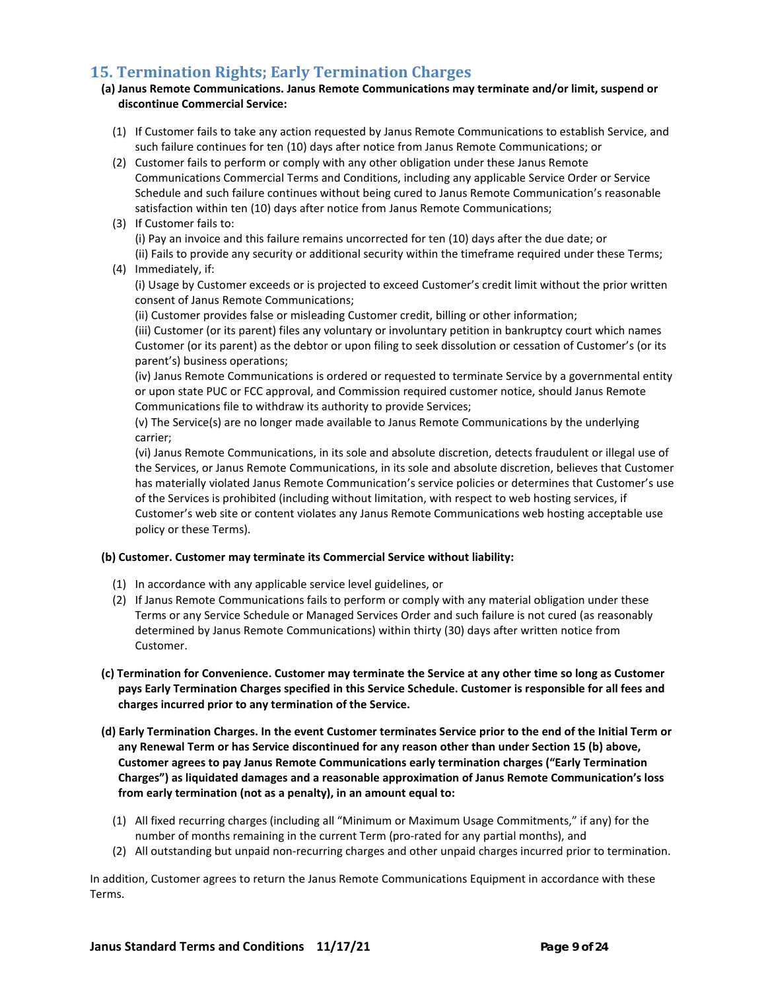## **15. Termination Rights; Early Termination Charges**

#### **(a) Janus Remote Communications. Janus Remote Communications may terminate and/or limit, suspend or discontinue Commercial Service:**

- (1) If Customer fails to take any action requested by Janus Remote Communications to establish Service, and such failure continues for ten (10) days after notice from Janus Remote Communications; or
- (2) Customer fails to perform or comply with any other obligation under these Janus Remote Communications Commercial Terms and Conditions, including any applicable Service Order or Service Schedule and such failure continues without being cured to Janus Remote Communication's reasonable satisfaction within ten (10) days after notice from Janus Remote Communications;
- (3) If Customer fails to: (i) Pay an invoice and this failure remains uncorrected for ten (10) days after the due date; or (ii) Fails to provide any security or additional security within the timeframe required under these Terms;
- (4) Immediately, if:

(i) Usage by Customer exceeds or is projected to exceed Customer's credit limit without the prior written consent of Janus Remote Communications;

(ii) Customer provides false or misleading Customer credit, billing or other information;

(iii) Customer (or its parent) files any voluntary or involuntary petition in bankruptcy court which names Customer (or its parent) as the debtor or upon filing to seek dissolution or cessation of Customer's (or its parent's) business operations;

(iv) Janus Remote Communications is ordered or requested to terminate Service by a governmental entity or upon state PUC or FCC approval, and Commission required customer notice, should Janus Remote Communications file to withdraw its authority to provide Services;

(v) The Service(s) are no longer made available to Janus Remote Communications by the underlying carrier;

(vi) Janus Remote Communications, in its sole and absolute discretion, detects fraudulent or illegal use of the Services, or Janus Remote Communications, in its sole and absolute discretion, believes that Customer has materially violated Janus Remote Communication's service policies or determines that Customer's use of the Services is prohibited (including without limitation, with respect to web hosting services, if Customer's web site or content violates any Janus Remote Communications web hosting acceptable use policy or these Terms).

#### **(b) Customer. Customer may terminate its Commercial Service without liability:**

- (1) In accordance with any applicable service level guidelines, or
- (2) If Janus Remote Communications fails to perform or comply with any material obligation under these Terms or any Service Schedule or Managed Services Order and such failure is not cured (as reasonably determined by Janus Remote Communications) within thirty (30) days after written notice from Customer.
- **(c) Termination for Convenience. Customer may terminate the Service at any other time so long as Customer pays Early Termination Charges specified in this Service Schedule. Customer is responsible for all fees and charges incurred prior to any termination of the Service.**
- **(d) Early Termination Charges. In the event Customer terminates Service prior to the end of the Initial Term or any Renewal Term or has Service discontinued for any reason other than under Section 15 (b) above, Customer agrees to pay Janus Remote Communications early termination charges ("Early Termination Charges") as liquidated damages and a reasonable approximation of Janus Remote Communication's loss from early termination (not as a penalty), in an amount equal to:** 
	- (1) All fixed recurring charges (including all "Minimum or Maximum Usage Commitments," if any) for the number of months remaining in the current Term (pro-rated for any partial months), and
	- (2) All outstanding but unpaid non-recurring charges and other unpaid charges incurred prior to termination.

In addition, Customer agrees to return the Janus Remote Communications Equipment in accordance with these Terms.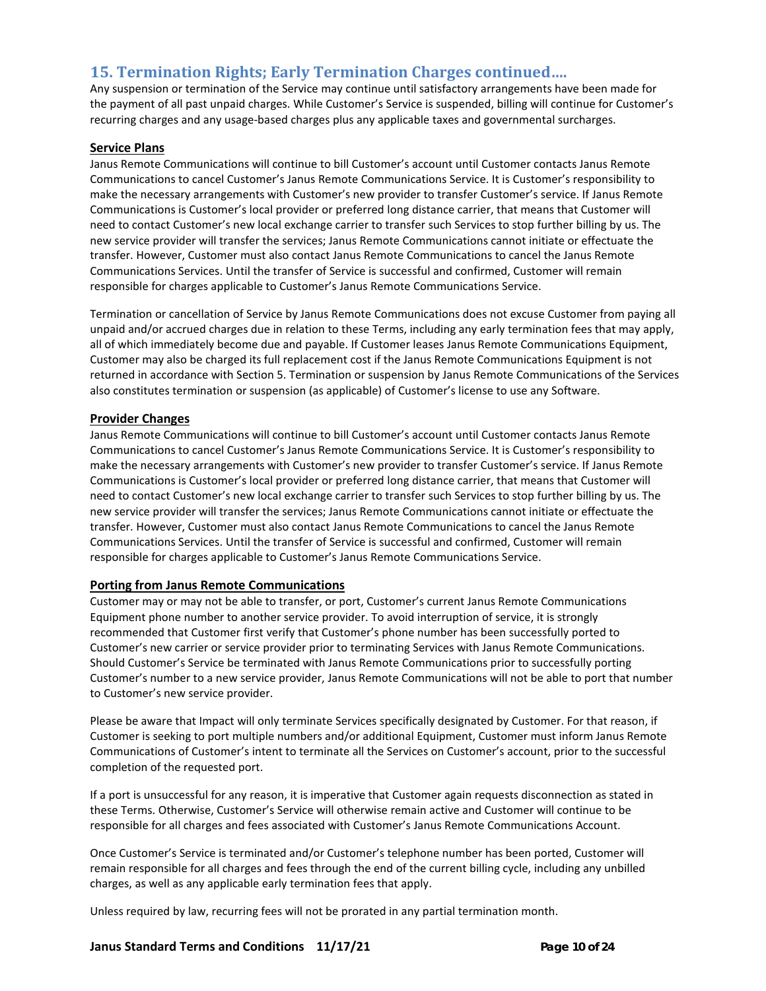## **15. Termination Rights; Early Termination Charges continued….**

Any suspension or termination of the Service may continue until satisfactory arrangements have been made for the payment of all past unpaid charges. While Customer's Service is suspended, billing will continue for Customer's recurring charges and any usage-based charges plus any applicable taxes and governmental surcharges.

#### **Service Plans**

Janus Remote Communications will continue to bill Customer's account until Customer contacts Janus Remote Communications to cancel Customer's Janus Remote Communications Service. It is Customer's responsibility to make the necessary arrangements with Customer's new provider to transfer Customer's service. If Janus Remote Communications is Customer's local provider or preferred long distance carrier, that means that Customer will need to contact Customer's new local exchange carrier to transfer such Services to stop further billing by us. The new service provider will transfer the services; Janus Remote Communications cannot initiate or effectuate the transfer. However, Customer must also contact Janus Remote Communications to cancel the Janus Remote Communications Services. Until the transfer of Service is successful and confirmed, Customer will remain responsible for charges applicable to Customer's Janus Remote Communications Service.

Termination or cancellation of Service by Janus Remote Communications does not excuse Customer from paying all unpaid and/or accrued charges due in relation to these Terms, including any early termination fees that may apply, all of which immediately become due and payable. If Customer leases Janus Remote Communications Equipment, Customer may also be charged its full replacement cost if the Janus Remote Communications Equipment is not returned in accordance with Section 5. Termination or suspension by Janus Remote Communications of the Services also constitutes termination or suspension (as applicable) of Customer's license to use any Software.

#### **Provider Changes**

Janus Remote Communications will continue to bill Customer's account until Customer contacts Janus Remote Communications to cancel Customer's Janus Remote Communications Service. It is Customer's responsibility to make the necessary arrangements with Customer's new provider to transfer Customer's service. If Janus Remote Communications is Customer's local provider or preferred long distance carrier, that means that Customer will need to contact Customer's new local exchange carrier to transfer such Services to stop further billing by us. The new service provider will transfer the services; Janus Remote Communications cannot initiate or effectuate the transfer. However, Customer must also contact Janus Remote Communications to cancel the Janus Remote Communications Services. Until the transfer of Service is successful and confirmed, Customer will remain responsible for charges applicable to Customer's Janus Remote Communications Service.

#### **Porting from Janus Remote Communications**

Customer may or may not be able to transfer, or port, Customer's current Janus Remote Communications Equipment phone number to another service provider. To avoid interruption of service, it is strongly recommended that Customer first verify that Customer's phone number has been successfully ported to Customer's new carrier or service provider prior to terminating Services with Janus Remote Communications. Should Customer's Service be terminated with Janus Remote Communications prior to successfully porting Customer's number to a new service provider, Janus Remote Communications will not be able to port that number to Customer's new service provider.

Please be aware that Impact will only terminate Services specifically designated by Customer. For that reason, if Customer is seeking to port multiple numbers and/or additional Equipment, Customer must inform Janus Remote Communications of Customer's intent to terminate all the Services on Customer's account, prior to the successful completion of the requested port.

If a port is unsuccessful for any reason, it is imperative that Customer again requests disconnection as stated in these Terms. Otherwise, Customer's Service will otherwise remain active and Customer will continue to be responsible for all charges and fees associated with Customer's Janus Remote Communications Account.

Once Customer's Service is terminated and/or Customer's telephone number has been ported, Customer will remain responsible for all charges and fees through the end of the current billing cycle, including any unbilled charges, as well as any applicable early termination fees that apply.

Unless required by law, recurring fees will not be prorated in any partial termination month.

#### **Janus Standard Terms and Conditions 11/17/21 Page 10 of 24**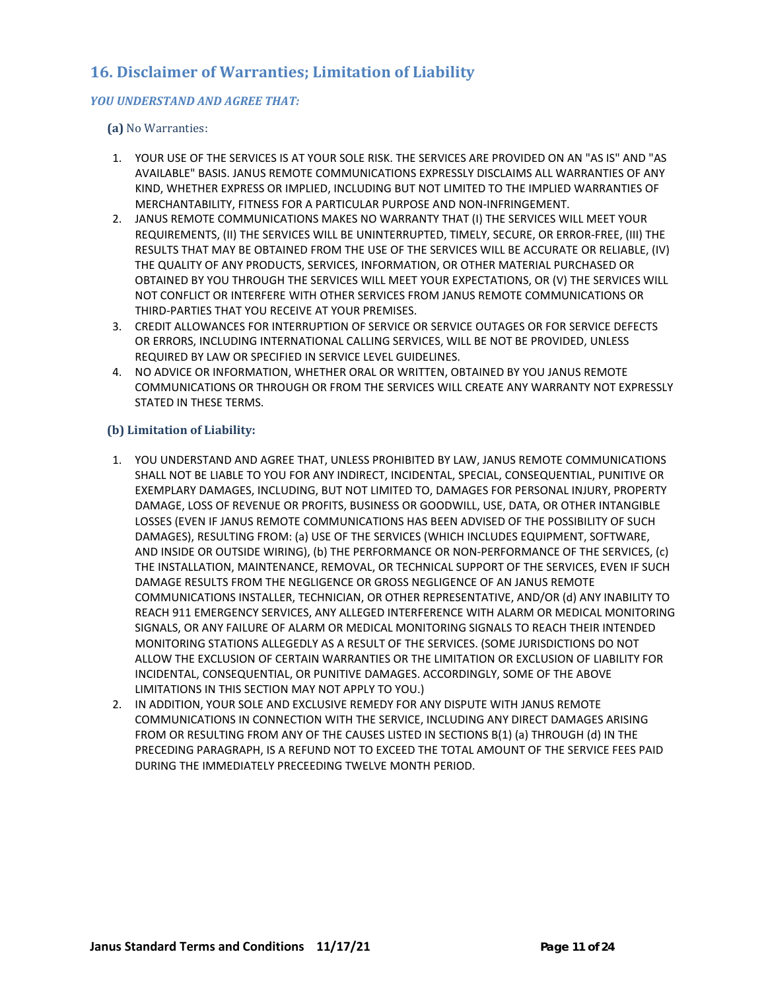## **16. Disclaimer of Warranties; Limitation of Liability**

#### *YOU UNDERSTAND AND AGREE THAT:*

#### **(a)** No Warranties:

- 1. YOUR USE OF THE SERVICES IS AT YOUR SOLE RISK. THE SERVICES ARE PROVIDED ON AN "AS IS" AND "AS AVAILABLE" BASIS. JANUS REMOTE COMMUNICATIONS EXPRESSLY DISCLAIMS ALL WARRANTIES OF ANY KIND, WHETHER EXPRESS OR IMPLIED, INCLUDING BUT NOT LIMITED TO THE IMPLIED WARRANTIES OF MERCHANTABILITY, FITNESS FOR A PARTICULAR PURPOSE AND NON-INFRINGEMENT.
- 2. JANUS REMOTE COMMUNICATIONS MAKES NO WARRANTY THAT (I) THE SERVICES WILL MEET YOUR REQUIREMENTS, (II) THE SERVICES WILL BE UNINTERRUPTED, TIMELY, SECURE, OR ERROR-FREE, (III) THE RESULTS THAT MAY BE OBTAINED FROM THE USE OF THE SERVICES WILL BE ACCURATE OR RELIABLE, (IV) THE QUALITY OF ANY PRODUCTS, SERVICES, INFORMATION, OR OTHER MATERIAL PURCHASED OR OBTAINED BY YOU THROUGH THE SERVICES WILL MEET YOUR EXPECTATIONS, OR (V) THE SERVICES WILL NOT CONFLICT OR INTERFERE WITH OTHER SERVICES FROM JANUS REMOTE COMMUNICATIONS OR THIRD-PARTIES THAT YOU RECEIVE AT YOUR PREMISES.
- 3. CREDIT ALLOWANCES FOR INTERRUPTION OF SERVICE OR SERVICE OUTAGES OR FOR SERVICE DEFECTS OR ERRORS, INCLUDING INTERNATIONAL CALLING SERVICES, WILL BE NOT BE PROVIDED, UNLESS REQUIRED BY LAW OR SPECIFIED IN SERVICE LEVEL GUIDELINES.
- 4. NO ADVICE OR INFORMATION, WHETHER ORAL OR WRITTEN, OBTAINED BY YOU JANUS REMOTE COMMUNICATIONS OR THROUGH OR FROM THE SERVICES WILL CREATE ANY WARRANTY NOT EXPRESSLY STATED IN THESE TERMS.

#### **(b) Limitation of Liability:**

- 1. YOU UNDERSTAND AND AGREE THAT, UNLESS PROHIBITED BY LAW, JANUS REMOTE COMMUNICATIONS SHALL NOT BE LIABLE TO YOU FOR ANY INDIRECT, INCIDENTAL, SPECIAL, CONSEQUENTIAL, PUNITIVE OR EXEMPLARY DAMAGES, INCLUDING, BUT NOT LIMITED TO, DAMAGES FOR PERSONAL INJURY, PROPERTY DAMAGE, LOSS OF REVENUE OR PROFITS, BUSINESS OR GOODWILL, USE, DATA, OR OTHER INTANGIBLE LOSSES (EVEN IF JANUS REMOTE COMMUNICATIONS HAS BEEN ADVISED OF THE POSSIBILITY OF SUCH DAMAGES), RESULTING FROM: (a) USE OF THE SERVICES (WHICH INCLUDES EQUIPMENT, SOFTWARE, AND INSIDE OR OUTSIDE WIRING), (b) THE PERFORMANCE OR NON-PERFORMANCE OF THE SERVICES, (c) THE INSTALLATION, MAINTENANCE, REMOVAL, OR TECHNICAL SUPPORT OF THE SERVICES, EVEN IF SUCH DAMAGE RESULTS FROM THE NEGLIGENCE OR GROSS NEGLIGENCE OF AN JANUS REMOTE COMMUNICATIONS INSTALLER, TECHNICIAN, OR OTHER REPRESENTATIVE, AND/OR (d) ANY INABILITY TO REACH 911 EMERGENCY SERVICES, ANY ALLEGED INTERFERENCE WITH ALARM OR MEDICAL MONITORING SIGNALS, OR ANY FAILURE OF ALARM OR MEDICAL MONITORING SIGNALS TO REACH THEIR INTENDED MONITORING STATIONS ALLEGEDLY AS A RESULT OF THE SERVICES. (SOME JURISDICTIONS DO NOT ALLOW THE EXCLUSION OF CERTAIN WARRANTIES OR THE LIMITATION OR EXCLUSION OF LIABILITY FOR INCIDENTAL, CONSEQUENTIAL, OR PUNITIVE DAMAGES. ACCORDINGLY, SOME OF THE ABOVE LIMITATIONS IN THIS SECTION MAY NOT APPLY TO YOU.)
- 2. IN ADDITION, YOUR SOLE AND EXCLUSIVE REMEDY FOR ANY DISPUTE WITH JANUS REMOTE COMMUNICATIONS IN CONNECTION WITH THE SERVICE, INCLUDING ANY DIRECT DAMAGES ARISING FROM OR RESULTING FROM ANY OF THE CAUSES LISTED IN SECTIONS B(1) (a) THROUGH (d) IN THE PRECEDING PARAGRAPH, IS A REFUND NOT TO EXCEED THE TOTAL AMOUNT OF THE SERVICE FEES PAID DURING THE IMMEDIATELY PRECEEDING TWELVE MONTH PERIOD.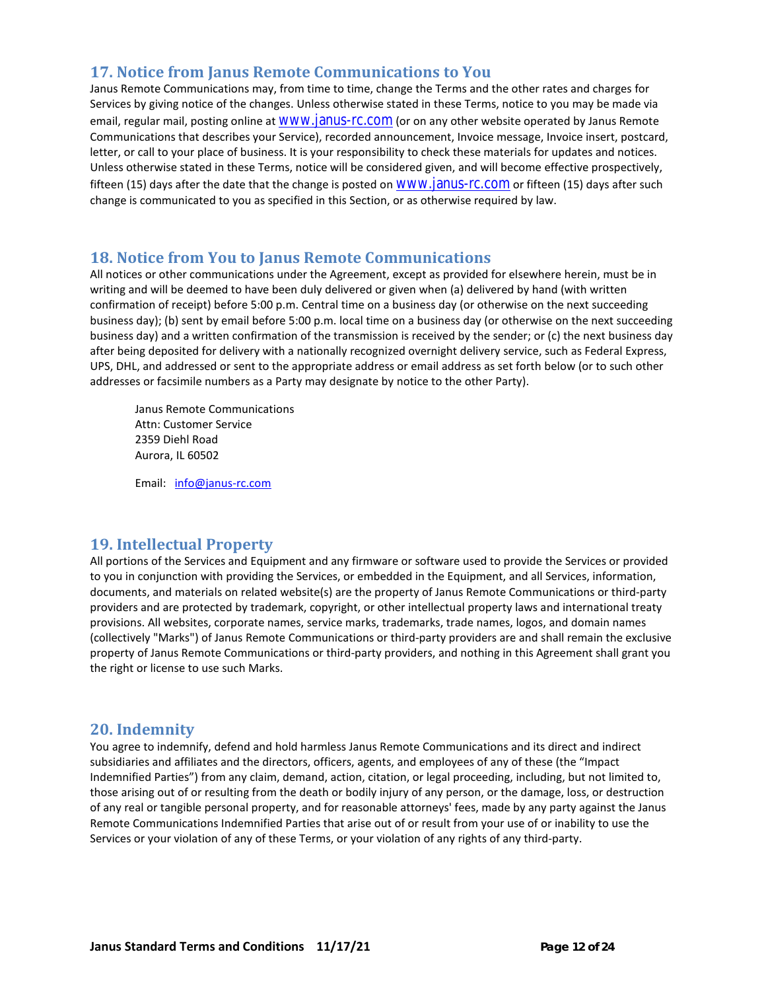## **17. Notice from Janus Remote Communications to You**

Janus Remote Communications may, from time to time, change the Terms and the other rates and charges for Services by giving notice of the changes. Unless otherwise stated in these Terms, notice to you may be made via email, regular mail, posting online at [www.janus-rc.com](http://www.janus-rc.com/) (or on any other website operated by Janus Remote Communications that describes your Service), recorded announcement, Invoice message, Invoice insert, postcard, letter, or call to your place of business. It is your responsibility to check these materials for updates and notices. Unless otherwise stated in these Terms, notice will be considered given, and will become effective prospectively, fifteen (15) days after the date that the change is posted on [www.janus-rc.com](http://www.janus-rc.com/) or fifteen (15) days after such change is communicated to you as specified in this Section, or as otherwise required by law.

## **18. Notice from You to Janus Remote Communications**

All notices or other communications under the Agreement, except as provided for elsewhere herein, must be in writing and will be deemed to have been duly delivered or given when (a) delivered by hand (with written confirmation of receipt) before 5:00 p.m. Central time on a business day (or otherwise on the next succeeding business day); (b) sent by email before 5:00 p.m. local time on a business day (or otherwise on the next succeeding business day) and a written confirmation of the transmission is received by the sender; or (c) the next business day after being deposited for delivery with a nationally recognized overnight delivery service, such as Federal Express, UPS, DHL, and addressed or sent to the appropriate address or email address as set forth below (or to such other addresses or facsimile numbers as a Party may designate by notice to the other Party).

Janus Remote Communications Attn: Customer Service 2359 Diehl Road Aurora, IL 60502

Email: [info@janus-rc.com](mailto:info@janus-rc.com)

## **19. Intellectual Property**

All portions of the Services and Equipment and any firmware or software used to provide the Services or provided to you in conjunction with providing the Services, or embedded in the Equipment, and all Services, information, documents, and materials on related website(s) are the property of Janus Remote Communications or third-party providers and are protected by trademark, copyright, or other intellectual property laws and international treaty provisions. All websites, corporate names, service marks, trademarks, trade names, logos, and domain names (collectively "Marks") of Janus Remote Communications or third-party providers are and shall remain the exclusive property of Janus Remote Communications or third-party providers, and nothing in this Agreement shall grant you the right or license to use such Marks.

## **20. Indemnity**

You agree to indemnify, defend and hold harmless Janus Remote Communications and its direct and indirect subsidiaries and affiliates and the directors, officers, agents, and employees of any of these (the "Impact Indemnified Parties") from any claim, demand, action, citation, or legal proceeding, including, but not limited to, those arising out of or resulting from the death or bodily injury of any person, or the damage, loss, or destruction of any real or tangible personal property, and for reasonable attorneys' fees, made by any party against the Janus Remote Communications Indemnified Parties that arise out of or result from your use of or inability to use the Services or your violation of any of these Terms, or your violation of any rights of any third-party.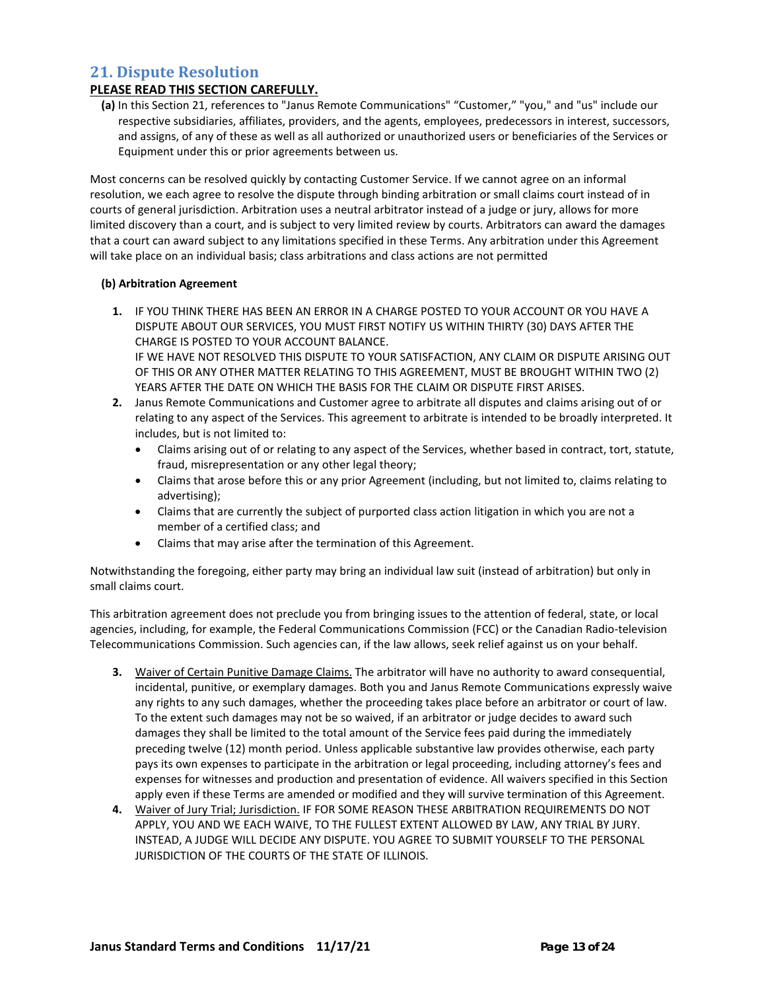## **21. Dispute Resolution**

### **PLEASE READ THIS SECTION CAREFULLY.**

**(a)** In this Section 21, references to "Janus Remote Communications" "Customer," "you," and "us" include our respective subsidiaries, affiliates, providers, and the agents, employees, predecessors in interest, successors, and assigns, of any of these as well as all authorized or unauthorized users or beneficiaries of the Services or Equipment under this or prior agreements between us.

Most concerns can be resolved quickly by contacting Customer Service. If we cannot agree on an informal resolution, we each agree to resolve the dispute through binding arbitration or small claims court instead of in courts of general jurisdiction. Arbitration uses a neutral arbitrator instead of a judge or jury, allows for more limited discovery than a court, and is subject to very limited review by courts. Arbitrators can award the damages that a court can award subject to any limitations specified in these Terms. Any arbitration under this Agreement will take place on an individual basis; class arbitrations and class actions are not permitted

#### **(b) Arbitration Agreement**

- **1.** IF YOU THINK THERE HAS BEEN AN ERROR IN A CHARGE POSTED TO YOUR ACCOUNT OR YOU HAVE A DISPUTE ABOUT OUR SERVICES, YOU MUST FIRST NOTIFY US WITHIN THIRTY (30) DAYS AFTER THE CHARGE IS POSTED TO YOUR ACCOUNT BALANCE. IF WE HAVE NOT RESOLVED THIS DISPUTE TO YOUR SATISFACTION, ANY CLAIM OR DISPUTE ARISING OUT OF THIS OR ANY OTHER MATTER RELATING TO THIS AGREEMENT, MUST BE BROUGHT WITHIN TWO (2) YEARS AFTER THE DATE ON WHICH THE BASIS FOR THE CLAIM OR DISPUTE FIRST ARISES.
- **2.** Janus Remote Communications and Customer agree to arbitrate all disputes and claims arising out of or relating to any aspect of the Services. This agreement to arbitrate is intended to be broadly interpreted. It includes, but is not limited to:
	- Claims arising out of or relating to any aspect of the Services, whether based in contract, tort, statute, fraud, misrepresentation or any other legal theory;
	- Claims that arose before this or any prior Agreement (including, but not limited to, claims relating to advertising);
	- Claims that are currently the subject of purported class action litigation in which you are not a member of a certified class; and
	- Claims that may arise after the termination of this Agreement.

Notwithstanding the foregoing, either party may bring an individual law suit (instead of arbitration) but only in small claims court.

This arbitration agreement does not preclude you from bringing issues to the attention of federal, state, or local agencies, including, for example, the Federal Communications Commission (FCC) or the Canadian Radio-television Telecommunications Commission. Such agencies can, if the law allows, seek relief against us on your behalf.

- **3.** Waiver of Certain Punitive Damage Claims. The arbitrator will have no authority to award consequential, incidental, punitive, or exemplary damages. Both you and Janus Remote Communications expressly waive any rights to any such damages, whether the proceeding takes place before an arbitrator or court of law. To the extent such damages may not be so waived, if an arbitrator or judge decides to award such damages they shall be limited to the total amount of the Service fees paid during the immediately preceding twelve (12) month period. Unless applicable substantive law provides otherwise, each party pays its own expenses to participate in the arbitration or legal proceeding, including attorney's fees and expenses for witnesses and production and presentation of evidence. All waivers specified in this Section apply even if these Terms are amended or modified and they will survive termination of this Agreement.
- **4.** Waiver of Jury Trial; Jurisdiction. IF FOR SOME REASON THESE ARBITRATION REQUIREMENTS DO NOT APPLY, YOU AND WE EACH WAIVE, TO THE FULLEST EXTENT ALLOWED BY LAW, ANY TRIAL BY JURY. INSTEAD, A JUDGE WILL DECIDE ANY DISPUTE. YOU AGREE TO SUBMIT YOURSELF TO THE PERSONAL JURISDICTION OF THE COURTS OF THE STATE OF ILLINOIS.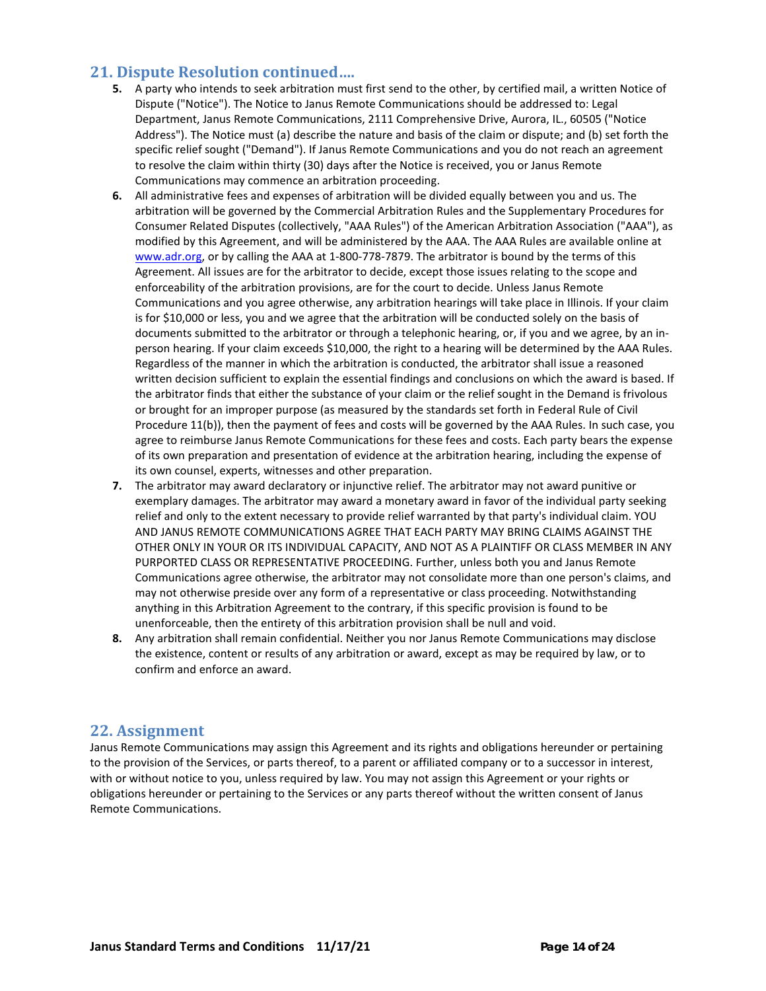## **21. Dispute Resolution continued….**

- **5.** A party who intends to seek arbitration must first send to the other, by certified mail, a written Notice of Dispute ("Notice"). The Notice to Janus Remote Communications should be addressed to: Legal Department, Janus Remote Communications, 2111 Comprehensive Drive, Aurora, IL., 60505 ("Notice Address"). The Notice must (a) describe the nature and basis of the claim or dispute; and (b) set forth the specific relief sought ("Demand"). If Janus Remote Communications and you do not reach an agreement to resolve the claim within thirty (30) days after the Notice is received, you or Janus Remote Communications may commence an arbitration proceeding.
- **6.** All administrative fees and expenses of arbitration will be divided equally between you and us. The arbitration will be governed by the Commercial Arbitration Rules and the Supplementary Procedures for Consumer Related Disputes (collectively, "AAA Rules") of the American Arbitration Association ("AAA"), as modified by this Agreement, and will be administered by the AAA. The AAA Rules are available online at [www.adr.org,](http://www.adr.org/) or by calling the AAA at 1-800-778-7879. The arbitrator is bound by the terms of this Agreement. All issues are for the arbitrator to decide, except those issues relating to the scope and enforceability of the arbitration provisions, are for the court to decide. Unless Janus Remote Communications and you agree otherwise, any arbitration hearings will take place in Illinois. If your claim is for \$10,000 or less, you and we agree that the arbitration will be conducted solely on the basis of documents submitted to the arbitrator or through a telephonic hearing, or, if you and we agree, by an inperson hearing. If your claim exceeds \$10,000, the right to a hearing will be determined by the AAA Rules. Regardless of the manner in which the arbitration is conducted, the arbitrator shall issue a reasoned written decision sufficient to explain the essential findings and conclusions on which the award is based. If the arbitrator finds that either the substance of your claim or the relief sought in the Demand is frivolous or brought for an improper purpose (as measured by the standards set forth in Federal Rule of Civil Procedure 11(b)), then the payment of fees and costs will be governed by the AAA Rules. In such case, you agree to reimburse Janus Remote Communications for these fees and costs. Each party bears the expense of its own preparation and presentation of evidence at the arbitration hearing, including the expense of its own counsel, experts, witnesses and other preparation.
- **7.** The arbitrator may award declaratory or injunctive relief. The arbitrator may not award punitive or exemplary damages. The arbitrator may award a monetary award in favor of the individual party seeking relief and only to the extent necessary to provide relief warranted by that party's individual claim. YOU AND JANUS REMOTE COMMUNICATIONS AGREE THAT EACH PARTY MAY BRING CLAIMS AGAINST THE OTHER ONLY IN YOUR OR ITS INDIVIDUAL CAPACITY, AND NOT AS A PLAINTIFF OR CLASS MEMBER IN ANY PURPORTED CLASS OR REPRESENTATIVE PROCEEDING. Further, unless both you and Janus Remote Communications agree otherwise, the arbitrator may not consolidate more than one person's claims, and may not otherwise preside over any form of a representative or class proceeding. Notwithstanding anything in this Arbitration Agreement to the contrary, if this specific provision is found to be unenforceable, then the entirety of this arbitration provision shall be null and void.
- **8.** Any arbitration shall remain confidential. Neither you nor Janus Remote Communications may disclose the existence, content or results of any arbitration or award, except as may be required by law, or to confirm and enforce an award.

## **22. Assignment**

Janus Remote Communications may assign this Agreement and its rights and obligations hereunder or pertaining to the provision of the Services, or parts thereof, to a parent or affiliated company or to a successor in interest, with or without notice to you, unless required by law. You may not assign this Agreement or your rights or obligations hereunder or pertaining to the Services or any parts thereof without the written consent of Janus Remote Communications.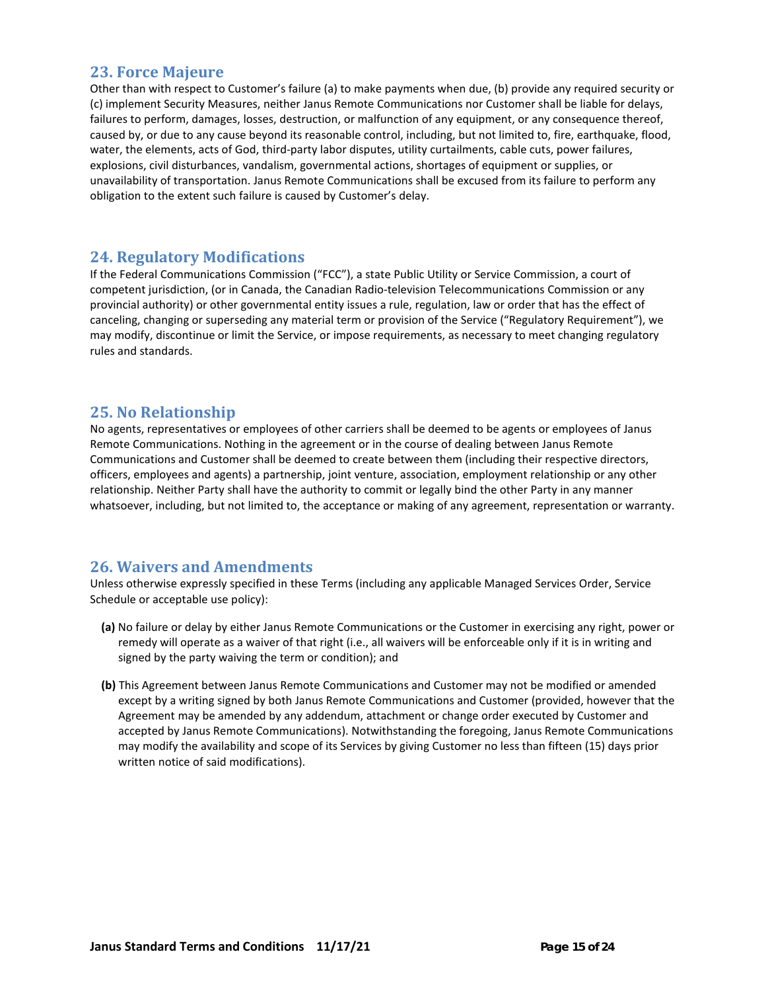## **23. Force Majeure**

Other than with respect to Customer's failure (a) to make payments when due, (b) provide any required security or (c) implement Security Measures, neither Janus Remote Communications nor Customer shall be liable for delays, failures to perform, damages, losses, destruction, or malfunction of any equipment, or any consequence thereof, caused by, or due to any cause beyond its reasonable control, including, but not limited to, fire, earthquake, flood, water, the elements, acts of God, third-party labor disputes, utility curtailments, cable cuts, power failures, explosions, civil disturbances, vandalism, governmental actions, shortages of equipment or supplies, or unavailability of transportation. Janus Remote Communications shall be excused from its failure to perform any obligation to the extent such failure is caused by Customer's delay.

## **24. Regulatory Modifications**

If the Federal Communications Commission ("FCC"), a state Public Utility or Service Commission, a court of competent jurisdiction, (or in Canada, the Canadian Radio-television Telecommunications Commission or any provincial authority) or other governmental entity issues a rule, regulation, law or order that has the effect of canceling, changing or superseding any material term or provision of the Service ("Regulatory Requirement"), we may modify, discontinue or limit the Service, or impose requirements, as necessary to meet changing regulatory rules and standards.

## **25. No Relationship**

No agents, representatives or employees of other carriers shall be deemed to be agents or employees of Janus Remote Communications. Nothing in the agreement or in the course of dealing between Janus Remote Communications and Customer shall be deemed to create between them (including their respective directors, officers, employees and agents) a partnership, joint venture, association, employment relationship or any other relationship. Neither Party shall have the authority to commit or legally bind the other Party in any manner whatsoever, including, but not limited to, the acceptance or making of any agreement, representation or warranty.

## **26. Waivers and Amendments**

Unless otherwise expressly specified in these Terms (including any applicable Managed Services Order, Service Schedule or acceptable use policy):

- **(a)** No failure or delay by either Janus Remote Communications or the Customer in exercising any right, power or remedy will operate as a waiver of that right (i.e., all waivers will be enforceable only if it is in writing and signed by the party waiving the term or condition); and
- **(b)** This Agreement between Janus Remote Communications and Customer may not be modified or amended except by a writing signed by both Janus Remote Communications and Customer (provided, however that the Agreement may be amended by any addendum, attachment or change order executed by Customer and accepted by Janus Remote Communications). Notwithstanding the foregoing, Janus Remote Communications may modify the availability and scope of its Services by giving Customer no less than fifteen (15) days prior written notice of said modifications).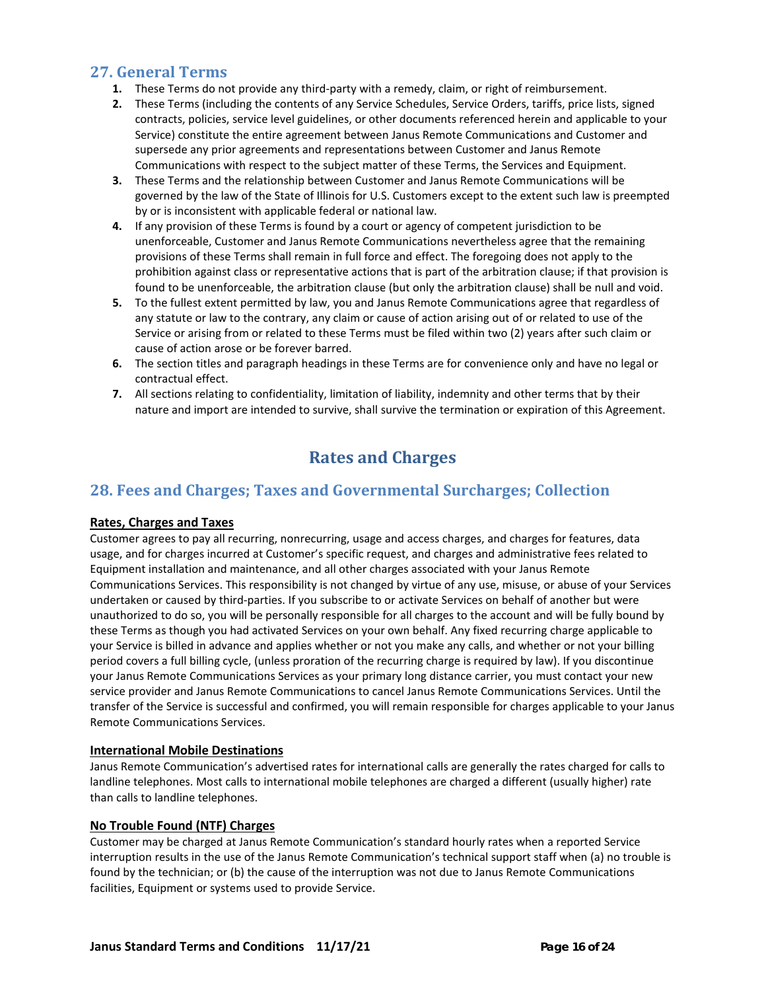## **27. General Terms**

- **1.** These Terms do not provide any third-party with a remedy, claim, or right of reimbursement.
- **2.** These Terms (including the contents of any Service Schedules, Service Orders, tariffs, price lists, signed contracts, policies, service level guidelines, or other documents referenced herein and applicable to your Service) constitute the entire agreement between Janus Remote Communications and Customer and supersede any prior agreements and representations between Customer and Janus Remote Communications with respect to the subject matter of these Terms, the Services and Equipment.
- **3.** These Terms and the relationship between Customer and Janus Remote Communications will be governed by the law of the State of Illinois for U.S. Customers except to the extent such law is preempted by or is inconsistent with applicable federal or national law.
- **4.** If any provision of these Terms is found by a court or agency of competent jurisdiction to be unenforceable, Customer and Janus Remote Communications nevertheless agree that the remaining provisions of these Terms shall remain in full force and effect. The foregoing does not apply to the prohibition against class or representative actions that is part of the arbitration clause; if that provision is found to be unenforceable, the arbitration clause (but only the arbitration clause) shall be null and void.
- **5.** To the fullest extent permitted by law, you and Janus Remote Communications agree that regardless of any statute or law to the contrary, any claim or cause of action arising out of or related to use of the Service or arising from or related to these Terms must be filed within two (2) years after such claim or cause of action arose or be forever barred.
- **6.** The section titles and paragraph headings in these Terms are for convenience only and have no legal or contractual effect.
- **7.** All sections relating to confidentiality, limitation of liability, indemnity and other terms that by their nature and import are intended to survive, shall survive the termination or expiration of this Agreement.

# **Rates and Charges**

## **28. Fees and Charges; Taxes and Governmental Surcharges; Collection**

## **Rates, Charges and Taxes**

Customer agrees to pay all recurring, nonrecurring, usage and access charges, and charges for features, data usage, and for charges incurred at Customer's specific request, and charges and administrative fees related to Equipment installation and maintenance, and all other charges associated with your Janus Remote Communications Services. This responsibility is not changed by virtue of any use, misuse, or abuse of your Services undertaken or caused by third-parties. If you subscribe to or activate Services on behalf of another but were unauthorized to do so, you will be personally responsible for all charges to the account and will be fully bound by these Terms as though you had activated Services on your own behalf. Any fixed recurring charge applicable to your Service is billed in advance and applies whether or not you make any calls, and whether or not your billing period covers a full billing cycle, (unless proration of the recurring charge is required by law). If you discontinue your Janus Remote Communications Services as your primary long distance carrier, you must contact your new service provider and Janus Remote Communications to cancel Janus Remote Communications Services. Until the transfer of the Service is successful and confirmed, you will remain responsible for charges applicable to your Janus Remote Communications Services.

#### **International Mobile Destinations**

Janus Remote Communication's advertised rates for international calls are generally the rates charged for calls to landline telephones. Most calls to international mobile telephones are charged a different (usually higher) rate than calls to landline telephones.

#### **No Trouble Found (NTF) Charges**

Customer may be charged at Janus Remote Communication's standard hourly rates when a reported Service interruption results in the use of the Janus Remote Communication's technical support staff when (a) no trouble is found by the technician; or (b) the cause of the interruption was not due to Janus Remote Communications facilities, Equipment or systems used to provide Service.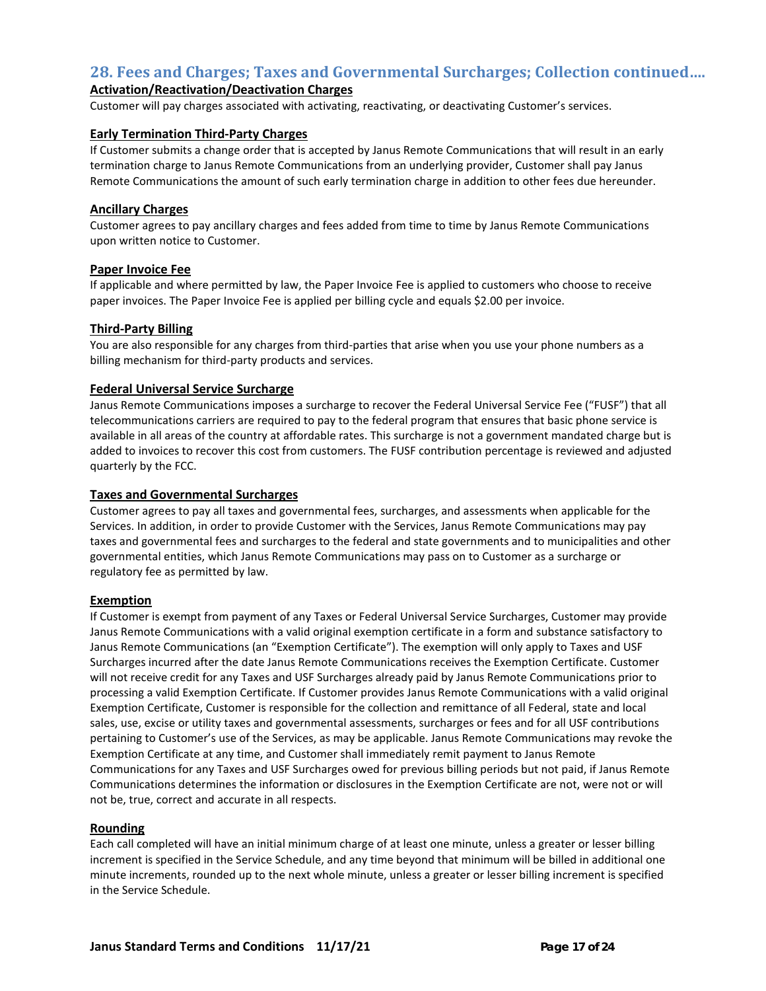## **28. Fees and Charges; Taxes and Governmental Surcharges; Collection continued….**

## **Activation/Reactivation/Deactivation Charges**

Customer will pay charges associated with activating, reactivating, or deactivating Customer's services.

#### **Early Termination Third-Party Charges**

If Customer submits a change order that is accepted by Janus Remote Communications that will result in an early termination charge to Janus Remote Communications from an underlying provider, Customer shall pay Janus Remote Communications the amount of such early termination charge in addition to other fees due hereunder.

#### **Ancillary Charges**

Customer agrees to pay ancillary charges and fees added from time to time by Janus Remote Communications upon written notice to Customer.

#### **Paper Invoice Fee**

If applicable and where permitted by law, the Paper Invoice Fee is applied to customers who choose to receive paper invoices. The Paper Invoice Fee is applied per billing cycle and equals \$2.00 per invoice.

#### **Third-Party Billing**

You are also responsible for any charges from third-parties that arise when you use your phone numbers as a billing mechanism for third-party products and services.

#### **Federal Universal Service Surcharge**

Janus Remote Communications imposes a surcharge to recover the Federal Universal Service Fee ("FUSF") that all telecommunications carriers are required to pay to the federal program that ensures that basic phone service is available in all areas of the country at affordable rates. This surcharge is not a government mandated charge but is added to invoices to recover this cost from customers. The FUSF contribution percentage is reviewed and adjusted quarterly by the FCC.

#### **Taxes and Governmental Surcharges**

Customer agrees to pay all taxes and governmental fees, surcharges, and assessments when applicable for the Services. In addition, in order to provide Customer with the Services, Janus Remote Communications may pay taxes and governmental fees and surcharges to the federal and state governments and to municipalities and other governmental entities, which Janus Remote Communications may pass on to Customer as a surcharge or regulatory fee as permitted by law.

#### **Exemption**

If Customer is exempt from payment of any Taxes or Federal Universal Service Surcharges, Customer may provide Janus Remote Communications with a valid original exemption certificate in a form and substance satisfactory to Janus Remote Communications (an "Exemption Certificate"). The exemption will only apply to Taxes and USF Surcharges incurred after the date Janus Remote Communications receives the Exemption Certificate. Customer will not receive credit for any Taxes and USF Surcharges already paid by Janus Remote Communications prior to processing a valid Exemption Certificate. If Customer provides Janus Remote Communications with a valid original Exemption Certificate, Customer is responsible for the collection and remittance of all Federal, state and local sales, use, excise or utility taxes and governmental assessments, surcharges or fees and for all USF contributions pertaining to Customer's use of the Services, as may be applicable. Janus Remote Communications may revoke the Exemption Certificate at any time, and Customer shall immediately remit payment to Janus Remote Communications for any Taxes and USF Surcharges owed for previous billing periods but not paid, if Janus Remote Communications determines the information or disclosures in the Exemption Certificate are not, were not or will not be, true, correct and accurate in all respects.

#### **Rounding**

Each call completed will have an initial minimum charge of at least one minute, unless a greater or lesser billing increment is specified in the Service Schedule, and any time beyond that minimum will be billed in additional one minute increments, rounded up to the next whole minute, unless a greater or lesser billing increment is specified in the Service Schedule.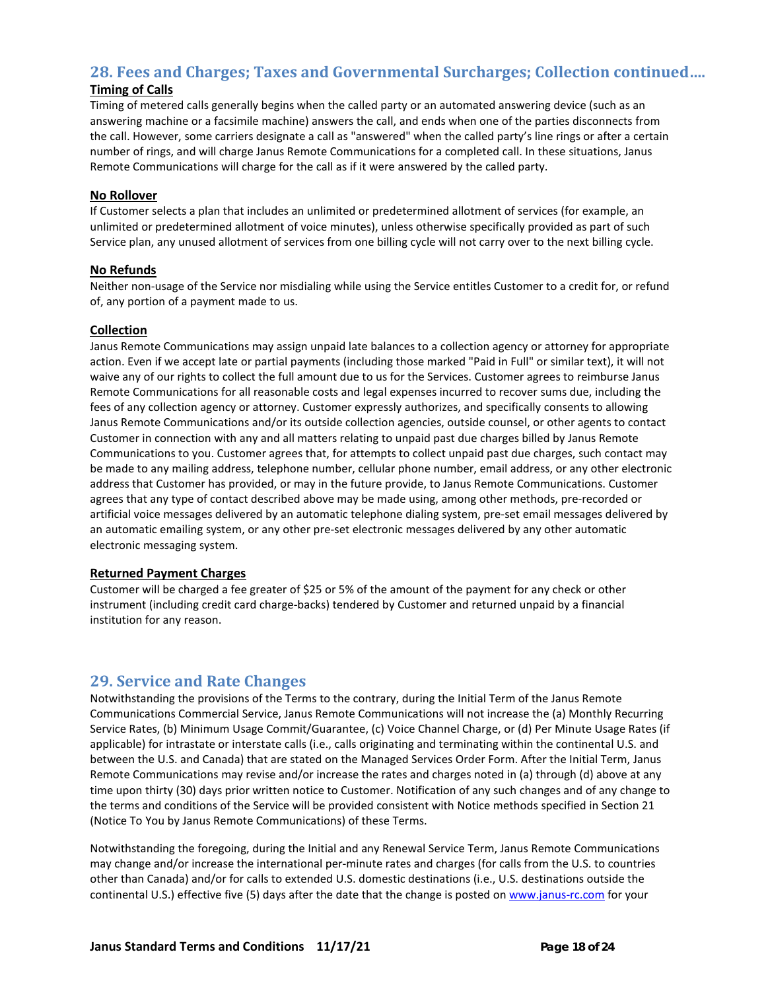## **28. Fees and Charges; Taxes and Governmental Surcharges; Collection continued….**

## **Timing of Calls**

Timing of metered calls generally begins when the called party or an automated answering device (such as an answering machine or a facsimile machine) answers the call, and ends when one of the parties disconnects from the call. However, some carriers designate a call as "answered" when the called party's line rings or after a certain number of rings, and will charge Janus Remote Communications for a completed call. In these situations, Janus Remote Communications will charge for the call as if it were answered by the called party.

### **No Rollover**

If Customer selects a plan that includes an unlimited or predetermined allotment of services (for example, an unlimited or predetermined allotment of voice minutes), unless otherwise specifically provided as part of such Service plan, any unused allotment of services from one billing cycle will not carry over to the next billing cycle.

#### **No Refunds**

Neither non-usage of the Service nor misdialing while using the Service entitles Customer to a credit for, or refund of, any portion of a payment made to us.

#### **Collection**

Janus Remote Communications may assign unpaid late balances to a collection agency or attorney for appropriate action. Even if we accept late or partial payments (including those marked "Paid in Full" or similar text), it will not waive any of our rights to collect the full amount due to us for the Services. Customer agrees to reimburse Janus Remote Communications for all reasonable costs and legal expenses incurred to recover sums due, including the fees of any collection agency or attorney. Customer expressly authorizes, and specifically consents to allowing Janus Remote Communications and/or its outside collection agencies, outside counsel, or other agents to contact Customer in connection with any and all matters relating to unpaid past due charges billed by Janus Remote Communications to you. Customer agrees that, for attempts to collect unpaid past due charges, such contact may be made to any mailing address, telephone number, cellular phone number, email address, or any other electronic address that Customer has provided, or may in the future provide, to Janus Remote Communications. Customer agrees that any type of contact described above may be made using, among other methods, pre-recorded or artificial voice messages delivered by an automatic telephone dialing system, pre-set email messages delivered by an automatic emailing system, or any other pre-set electronic messages delivered by any other automatic electronic messaging system.

#### **Returned Payment Charges**

Customer will be charged a fee greater of \$25 or 5% of the amount of the payment for any check or other instrument (including credit card charge-backs) tendered by Customer and returned unpaid by a financial institution for any reason.

## **29. Service and Rate Changes**

Notwithstanding the provisions of the Terms to the contrary, during the Initial Term of the Janus Remote Communications Commercial Service, Janus Remote Communications will not increase the (a) Monthly Recurring Service Rates, (b) Minimum Usage Commit/Guarantee, (c) Voice Channel Charge, or (d) Per Minute Usage Rates (if applicable) for intrastate or interstate calls (i.e., calls originating and terminating within the continental U.S. and between the U.S. and Canada) that are stated on the Managed Services Order Form. After the Initial Term, Janus Remote Communications may revise and/or increase the rates and charges noted in (a) through (d) above at any time upon thirty (30) days prior written notice to Customer. Notification of any such changes and of any change to the terms and conditions of the Service will be provided consistent with Notice methods specified in Section 21 (Notice To You by Janus Remote Communications) of these Terms.

Notwithstanding the foregoing, during the Initial and any Renewal Service Term, Janus Remote Communications may change and/or increase the international per-minute rates and charges (for calls from the U.S. to countries other than Canada) and/or for calls to extended U.S. domestic destinations (i.e., U.S. destinations outside the continental U.S.) effective five (5) days after the date that the change is posted on [www.janus-rc.com](http://www.impacttelecom.com/) for your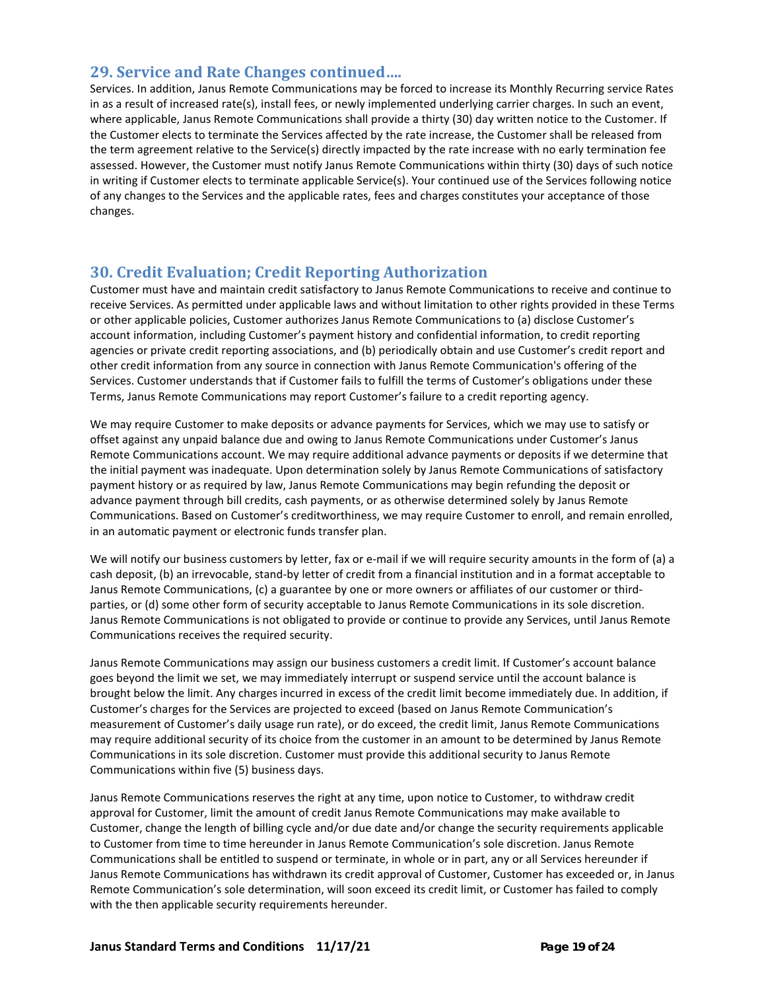## **29. Service and Rate Changes continued….**

Services. In addition, Janus Remote Communications may be forced to increase its Monthly Recurring service Rates in as a result of increased rate(s), install fees, or newly implemented underlying carrier charges. In such an event, where applicable, Janus Remote Communications shall provide a thirty (30) day written notice to the Customer. If the Customer elects to terminate the Services affected by the rate increase, the Customer shall be released from the term agreement relative to the Service(s) directly impacted by the rate increase with no early termination fee assessed. However, the Customer must notify Janus Remote Communications within thirty (30) days of such notice in writing if Customer elects to terminate applicable Service(s). Your continued use of the Services following notice of any changes to the Services and the applicable rates, fees and charges constitutes your acceptance of those changes.

## **30. Credit Evaluation; Credit Reporting Authorization**

Customer must have and maintain credit satisfactory to Janus Remote Communications to receive and continue to receive Services. As permitted under applicable laws and without limitation to other rights provided in these Terms or other applicable policies, Customer authorizes Janus Remote Communications to (a) disclose Customer's account information, including Customer's payment history and confidential information, to credit reporting agencies or private credit reporting associations, and (b) periodically obtain and use Customer's credit report and other credit information from any source in connection with Janus Remote Communication's offering of the Services. Customer understands that if Customer fails to fulfill the terms of Customer's obligations under these Terms, Janus Remote Communications may report Customer's failure to a credit reporting agency.

We may require Customer to make deposits or advance payments for Services, which we may use to satisfy or offset against any unpaid balance due and owing to Janus Remote Communications under Customer's Janus Remote Communications account. We may require additional advance payments or deposits if we determine that the initial payment was inadequate. Upon determination solely by Janus Remote Communications of satisfactory payment history or as required by law, Janus Remote Communications may begin refunding the deposit or advance payment through bill credits, cash payments, or as otherwise determined solely by Janus Remote Communications. Based on Customer's creditworthiness, we may require Customer to enroll, and remain enrolled, in an automatic payment or electronic funds transfer plan.

We will notify our business customers by letter, fax or e-mail if we will require security amounts in the form of (a) a cash deposit, (b) an irrevocable, stand-by letter of credit from a financial institution and in a format acceptable to Janus Remote Communications, (c) a guarantee by one or more owners or affiliates of our customer or thirdparties, or (d) some other form of security acceptable to Janus Remote Communications in its sole discretion. Janus Remote Communications is not obligated to provide or continue to provide any Services, until Janus Remote Communications receives the required security.

Janus Remote Communications may assign our business customers a credit limit. If Customer's account balance goes beyond the limit we set, we may immediately interrupt or suspend service until the account balance is brought below the limit. Any charges incurred in excess of the credit limit become immediately due. In addition, if Customer's charges for the Services are projected to exceed (based on Janus Remote Communication's measurement of Customer's daily usage run rate), or do exceed, the credit limit, Janus Remote Communications may require additional security of its choice from the customer in an amount to be determined by Janus Remote Communications in its sole discretion. Customer must provide this additional security to Janus Remote Communications within five (5) business days.

Janus Remote Communications reserves the right at any time, upon notice to Customer, to withdraw credit approval for Customer, limit the amount of credit Janus Remote Communications may make available to Customer, change the length of billing cycle and/or due date and/or change the security requirements applicable to Customer from time to time hereunder in Janus Remote Communication's sole discretion. Janus Remote Communications shall be entitled to suspend or terminate, in whole or in part, any or all Services hereunder if Janus Remote Communications has withdrawn its credit approval of Customer, Customer has exceeded or, in Janus Remote Communication's sole determination, will soon exceed its credit limit, or Customer has failed to comply with the then applicable security requirements hereunder.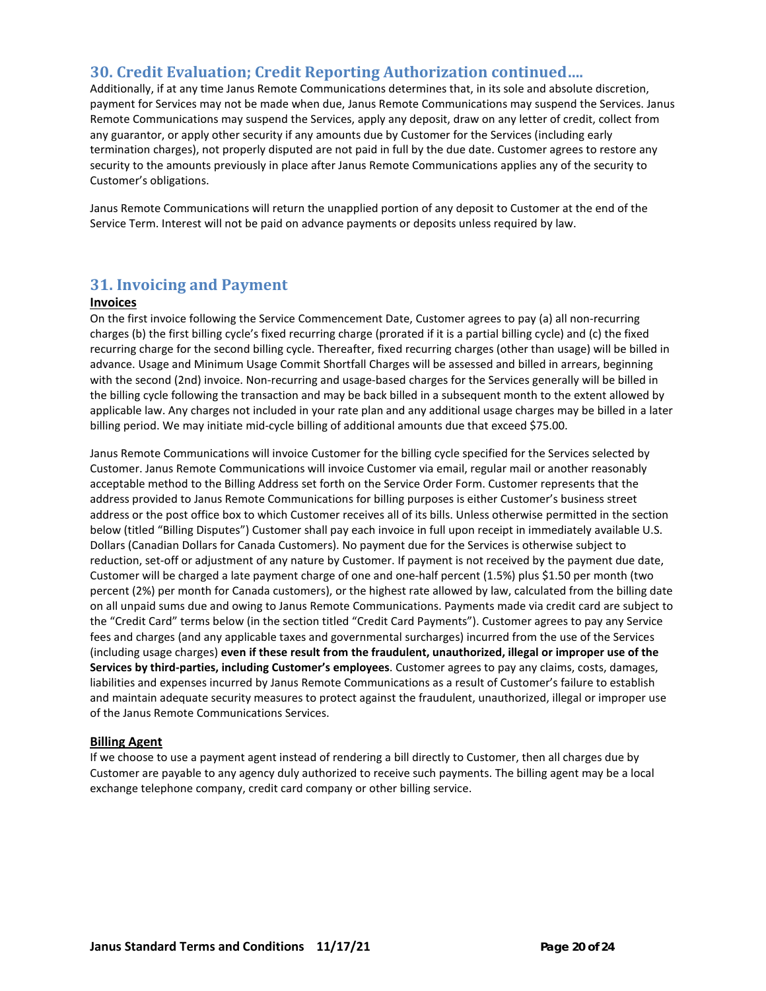## **30. Credit Evaluation; Credit Reporting Authorization continued….**

Additionally, if at any time Janus Remote Communications determines that, in its sole and absolute discretion, payment for Services may not be made when due, Janus Remote Communications may suspend the Services. Janus Remote Communications may suspend the Services, apply any deposit, draw on any letter of credit, collect from any guarantor, or apply other security if any amounts due by Customer for the Services (including early termination charges), not properly disputed are not paid in full by the due date. Customer agrees to restore any security to the amounts previously in place after Janus Remote Communications applies any of the security to Customer's obligations.

Janus Remote Communications will return the unapplied portion of any deposit to Customer at the end of the Service Term. Interest will not be paid on advance payments or deposits unless required by law.

## **31. Invoicing and Payment**

#### **Invoices**

On the first invoice following the Service Commencement Date, Customer agrees to pay (a) all non-recurring charges (b) the first billing cycle's fixed recurring charge (prorated if it is a partial billing cycle) and (c) the fixed recurring charge for the second billing cycle. Thereafter, fixed recurring charges (other than usage) will be billed in advance. Usage and Minimum Usage Commit Shortfall Charges will be assessed and billed in arrears, beginning with the second (2nd) invoice. Non-recurring and usage-based charges for the Services generally will be billed in the billing cycle following the transaction and may be back billed in a subsequent month to the extent allowed by applicable law. Any charges not included in your rate plan and any additional usage charges may be billed in a later billing period. We may initiate mid-cycle billing of additional amounts due that exceed \$75.00.

Janus Remote Communications will invoice Customer for the billing cycle specified for the Services selected by Customer. Janus Remote Communications will invoice Customer via email, regular mail or another reasonably acceptable method to the Billing Address set forth on the Service Order Form. Customer represents that the address provided to Janus Remote Communications for billing purposes is either Customer's business street address or the post office box to which Customer receives all of its bills. Unless otherwise permitted in the section below (titled "Billing Disputes") Customer shall pay each invoice in full upon receipt in immediately available U.S. Dollars (Canadian Dollars for Canada Customers). No payment due for the Services is otherwise subject to reduction, set-off or adjustment of any nature by Customer. If payment is not received by the payment due date, Customer will be charged a late payment charge of one and one-half percent (1.5%) plus \$1.50 per month (two percent (2%) per month for Canada customers), or the highest rate allowed by law, calculated from the billing date on all unpaid sums due and owing to Janus Remote Communications. Payments made via credit card are subject to the "Credit Card" terms below (in the section titled "Credit Card Payments"). Customer agrees to pay any Service fees and charges (and any applicable taxes and governmental surcharges) incurred from the use of the Services (including usage charges) **even if these result from the fraudulent, unauthorized, illegal or improper use of the Services by third-parties, including Customer's employees**. Customer agrees to pay any claims, costs, damages, liabilities and expenses incurred by Janus Remote Communications as a result of Customer's failure to establish and maintain adequate security measures to protect against the fraudulent, unauthorized, illegal or improper use of the Janus Remote Communications Services.

#### **Billing Agent**

If we choose to use a payment agent instead of rendering a bill directly to Customer, then all charges due by Customer are payable to any agency duly authorized to receive such payments. The billing agent may be a local exchange telephone company, credit card company or other billing service.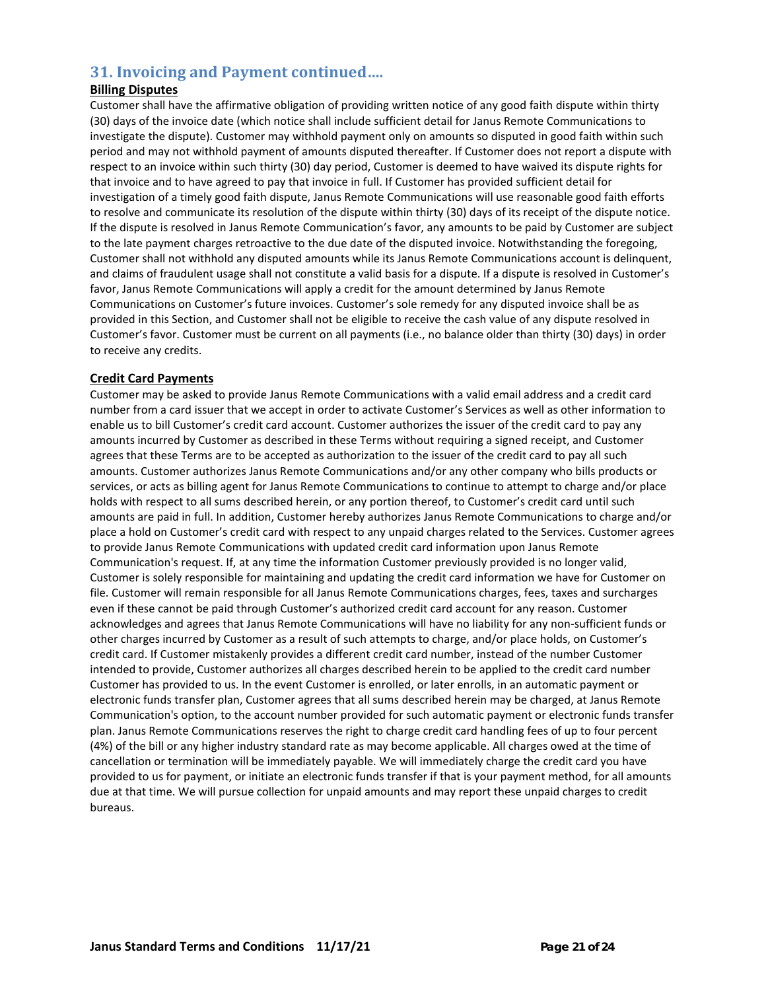## **31. Invoicing and Payment continued….**

## **Billing Disputes**

Customer shall have the affirmative obligation of providing written notice of any good faith dispute within thirty (30) days of the invoice date (which notice shall include sufficient detail for Janus Remote Communications to investigate the dispute). Customer may withhold payment only on amounts so disputed in good faith within such period and may not withhold payment of amounts disputed thereafter. If Customer does not report a dispute with respect to an invoice within such thirty (30) day period, Customer is deemed to have waived its dispute rights for that invoice and to have agreed to pay that invoice in full. If Customer has provided sufficient detail for investigation of a timely good faith dispute, Janus Remote Communications will use reasonable good faith efforts to resolve and communicate its resolution of the dispute within thirty (30) days of its receipt of the dispute notice. If the dispute is resolved in Janus Remote Communication's favor, any amounts to be paid by Customer are subject to the late payment charges retroactive to the due date of the disputed invoice. Notwithstanding the foregoing, Customer shall not withhold any disputed amounts while its Janus Remote Communications account is delinquent, and claims of fraudulent usage shall not constitute a valid basis for a dispute. If a dispute is resolved in Customer's favor, Janus Remote Communications will apply a credit for the amount determined by Janus Remote Communications on Customer's future invoices. Customer's sole remedy for any disputed invoice shall be as provided in this Section, and Customer shall not be eligible to receive the cash value of any dispute resolved in Customer's favor. Customer must be current on all payments (i.e., no balance older than thirty (30) days) in order to receive any credits.

## **Credit Card Payments**

Customer may be asked to provide Janus Remote Communications with a valid email address and a credit card number from a card issuer that we accept in order to activate Customer's Services as well as other information to enable us to bill Customer's credit card account. Customer authorizes the issuer of the credit card to pay any amounts incurred by Customer as described in these Terms without requiring a signed receipt, and Customer agrees that these Terms are to be accepted as authorization to the issuer of the credit card to pay all such amounts. Customer authorizes Janus Remote Communications and/or any other company who bills products or services, or acts as billing agent for Janus Remote Communications to continue to attempt to charge and/or place holds with respect to all sums described herein, or any portion thereof, to Customer's credit card until such amounts are paid in full. In addition, Customer hereby authorizes Janus Remote Communications to charge and/or place a hold on Customer's credit card with respect to any unpaid charges related to the Services. Customer agrees to provide Janus Remote Communications with updated credit card information upon Janus Remote Communication's request. If, at any time the information Customer previously provided is no longer valid, Customer is solely responsible for maintaining and updating the credit card information we have for Customer on file. Customer will remain responsible for all Janus Remote Communications charges, fees, taxes and surcharges even if these cannot be paid through Customer's authorized credit card account for any reason. Customer acknowledges and agrees that Janus Remote Communications will have no liability for any non-sufficient funds or other charges incurred by Customer as a result of such attempts to charge, and/or place holds, on Customer's credit card. If Customer mistakenly provides a different credit card number, instead of the number Customer intended to provide, Customer authorizes all charges described herein to be applied to the credit card number Customer has provided to us. In the event Customer is enrolled, or later enrolls, in an automatic payment or electronic funds transfer plan, Customer agrees that all sums described herein may be charged, at Janus Remote Communication's option, to the account number provided for such automatic payment or electronic funds transfer plan. Janus Remote Communications reserves the right to charge credit card handling fees of up to four percent (4%) of the bill or any higher industry standard rate as may become applicable. All charges owed at the time of cancellation or termination will be immediately payable. We will immediately charge the credit card you have provided to us for payment, or initiate an electronic funds transfer if that is your payment method, for all amounts due at that time. We will pursue collection for unpaid amounts and may report these unpaid charges to credit bureaus.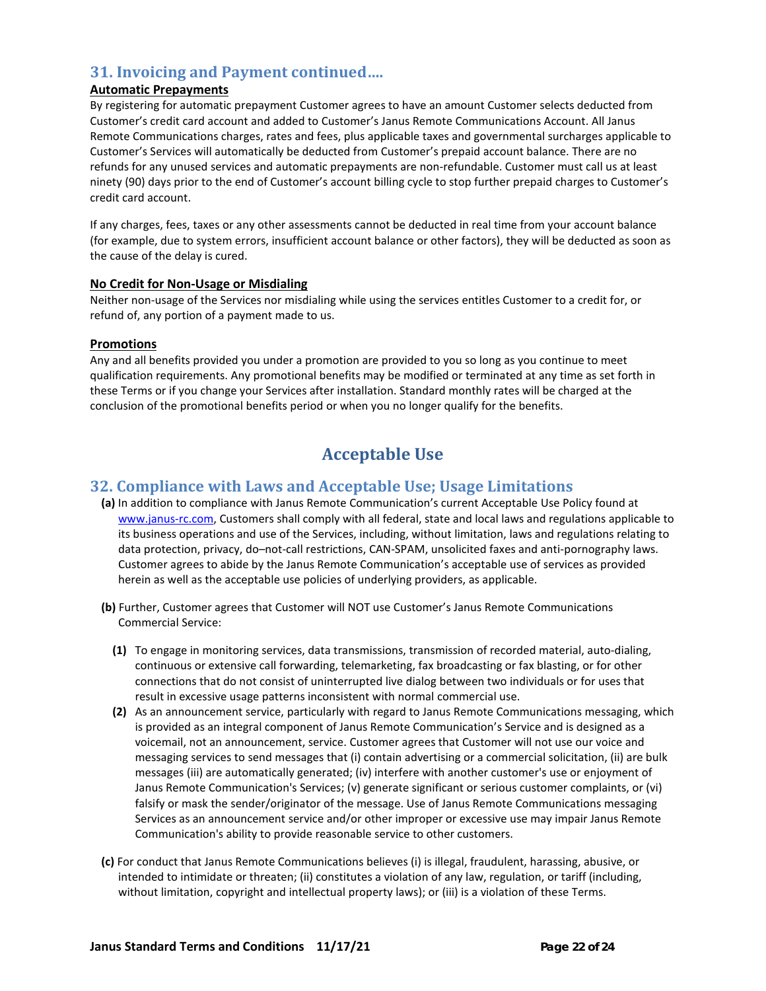## **31. Invoicing and Payment continued….**

## **Automatic Prepayments**

By registering for automatic prepayment Customer agrees to have an amount Customer selects deducted from Customer's credit card account and added to Customer's Janus Remote Communications Account. All Janus Remote Communications charges, rates and fees, plus applicable taxes and governmental surcharges applicable to Customer's Services will automatically be deducted from Customer's prepaid account balance. There are no refunds for any unused services and automatic prepayments are non-refundable. Customer must call us at least ninety (90) days prior to the end of Customer's account billing cycle to stop further prepaid charges to Customer's credit card account.

If any charges, fees, taxes or any other assessments cannot be deducted in real time from your account balance (for example, due to system errors, insufficient account balance or other factors), they will be deducted as soon as the cause of the delay is cured.

#### **No Credit for Non-Usage or Misdialing**

Neither non-usage of the Services nor misdialing while using the services entitles Customer to a credit for, or refund of, any portion of a payment made to us.

#### **Promotions**

Any and all benefits provided you under a promotion are provided to you so long as you continue to meet qualification requirements. Any promotional benefits may be modified or terminated at any time as set forth in these Terms or if you change your Services after installation. Standard monthly rates will be charged at the conclusion of the promotional benefits period or when you no longer qualify for the benefits.

# **Acceptable Use**

## **32. Compliance with Laws and Acceptable Use; Usage Limitations**

- **(a)** In addition to compliance with Janus Remote Communication's current Acceptable Use Policy found at [www.janus-rc.com,](http://www.impacttelecom.com/acceptable-use-policy) Customers shall comply with all federal, state and local laws and regulations applicable to its business operations and use of the Services, including, without limitation, laws and regulations relating to data protection, privacy, do–not-call restrictions, CAN-SPAM, unsolicited faxes and anti-pornography laws. Customer agrees to abide by the Janus Remote Communication's acceptable use of services as provided herein as well as the acceptable use policies of underlying providers, as applicable.
- **(b)** Further, Customer agrees that Customer will NOT use Customer's Janus Remote Communications Commercial Service:
	- **(1)** To engage in monitoring services, data transmissions, transmission of recorded material, auto-dialing, continuous or extensive call forwarding, telemarketing, fax broadcasting or fax blasting, or for other connections that do not consist of uninterrupted live dialog between two individuals or for uses that result in excessive usage patterns inconsistent with normal commercial use.
	- **(2)** As an announcement service, particularly with regard to Janus Remote Communications messaging, which is provided as an integral component of Janus Remote Communication's Service and is designed as a voicemail, not an announcement, service. Customer agrees that Customer will not use our voice and messaging services to send messages that (i) contain advertising or a commercial solicitation, (ii) are bulk messages (iii) are automatically generated; (iv) interfere with another customer's use or enjoyment of Janus Remote Communication's Services; (v) generate significant or serious customer complaints, or (vi) falsify or mask the sender/originator of the message. Use of Janus Remote Communications messaging Services as an announcement service and/or other improper or excessive use may impair Janus Remote Communication's ability to provide reasonable service to other customers.
- **(c)** For conduct that Janus Remote Communications believes (i) is illegal, fraudulent, harassing, abusive, or intended to intimidate or threaten; (ii) constitutes a violation of any law, regulation, or tariff (including, without limitation, copyright and intellectual property laws); or (iii) is a violation of these Terms.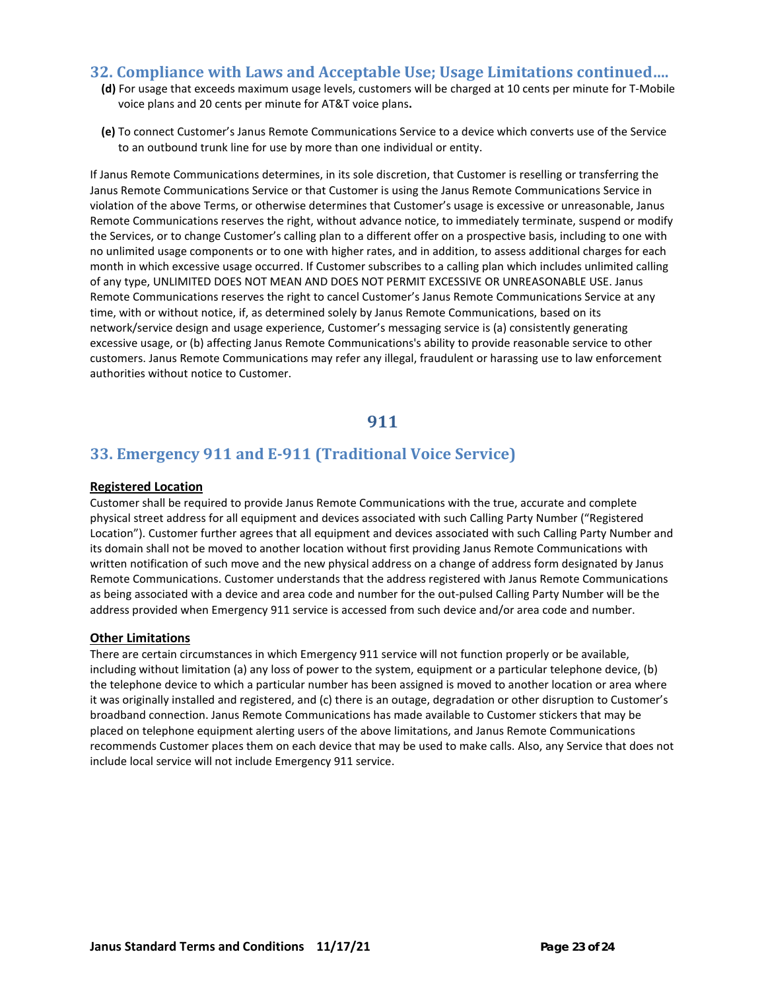## **32. Compliance with Laws and Acceptable Use; Usage Limitations continued….**

- **(d)** For usage that exceeds maximum usage levels, customers will be charged at 10 cents per minute for T-Mobile voice plans and 20 cents per minute for AT&T voice plans**.**
- **(e)** To connect Customer's Janus Remote Communications Service to a device which converts use of the Service to an outbound trunk line for use by more than one individual or entity.

If Janus Remote Communications determines, in its sole discretion, that Customer is reselling or transferring the Janus Remote Communications Service or that Customer is using the Janus Remote Communications Service in violation of the above Terms, or otherwise determines that Customer's usage is excessive or unreasonable, Janus Remote Communications reserves the right, without advance notice, to immediately terminate, suspend or modify the Services, or to change Customer's calling plan to a different offer on a prospective basis, including to one with no unlimited usage components or to one with higher rates, and in addition, to assess additional charges for each month in which excessive usage occurred. If Customer subscribes to a calling plan which includes unlimited calling of any type, UNLIMITED DOES NOT MEAN AND DOES NOT PERMIT EXCESSIVE OR UNREASONABLE USE. Janus Remote Communications reserves the right to cancel Customer's Janus Remote Communications Service at any time, with or without notice, if, as determined solely by Janus Remote Communications, based on its network/service design and usage experience, Customer's messaging service is (a) consistently generating excessive usage, or (b) affecting Janus Remote Communications's ability to provide reasonable service to other customers. Janus Remote Communications may refer any illegal, fraudulent or harassing use to law enforcement authorities without notice to Customer.

## **911**

## **33. Emergency 911 and E-911 (Traditional Voice Service)**

#### **Registered Location**

Customer shall be required to provide Janus Remote Communications with the true, accurate and complete physical street address for all equipment and devices associated with such Calling Party Number ("Registered Location"). Customer further agrees that all equipment and devices associated with such Calling Party Number and its domain shall not be moved to another location without first providing Janus Remote Communications with written notification of such move and the new physical address on a change of address form designated by Janus Remote Communications. Customer understands that the address registered with Janus Remote Communications as being associated with a device and area code and number for the out-pulsed Calling Party Number will be the address provided when Emergency 911 service is accessed from such device and/or area code and number.

#### **Other Limitations**

There are certain circumstances in which Emergency 911 service will not function properly or be available, including without limitation (a) any loss of power to the system, equipment or a particular telephone device, (b) the telephone device to which a particular number has been assigned is moved to another location or area where it was originally installed and registered, and (c) there is an outage, degradation or other disruption to Customer's broadband connection. Janus Remote Communications has made available to Customer stickers that may be placed on telephone equipment alerting users of the above limitations, and Janus Remote Communications recommends Customer places them on each device that may be used to make calls. Also, any Service that does not include local service will not include Emergency 911 service.